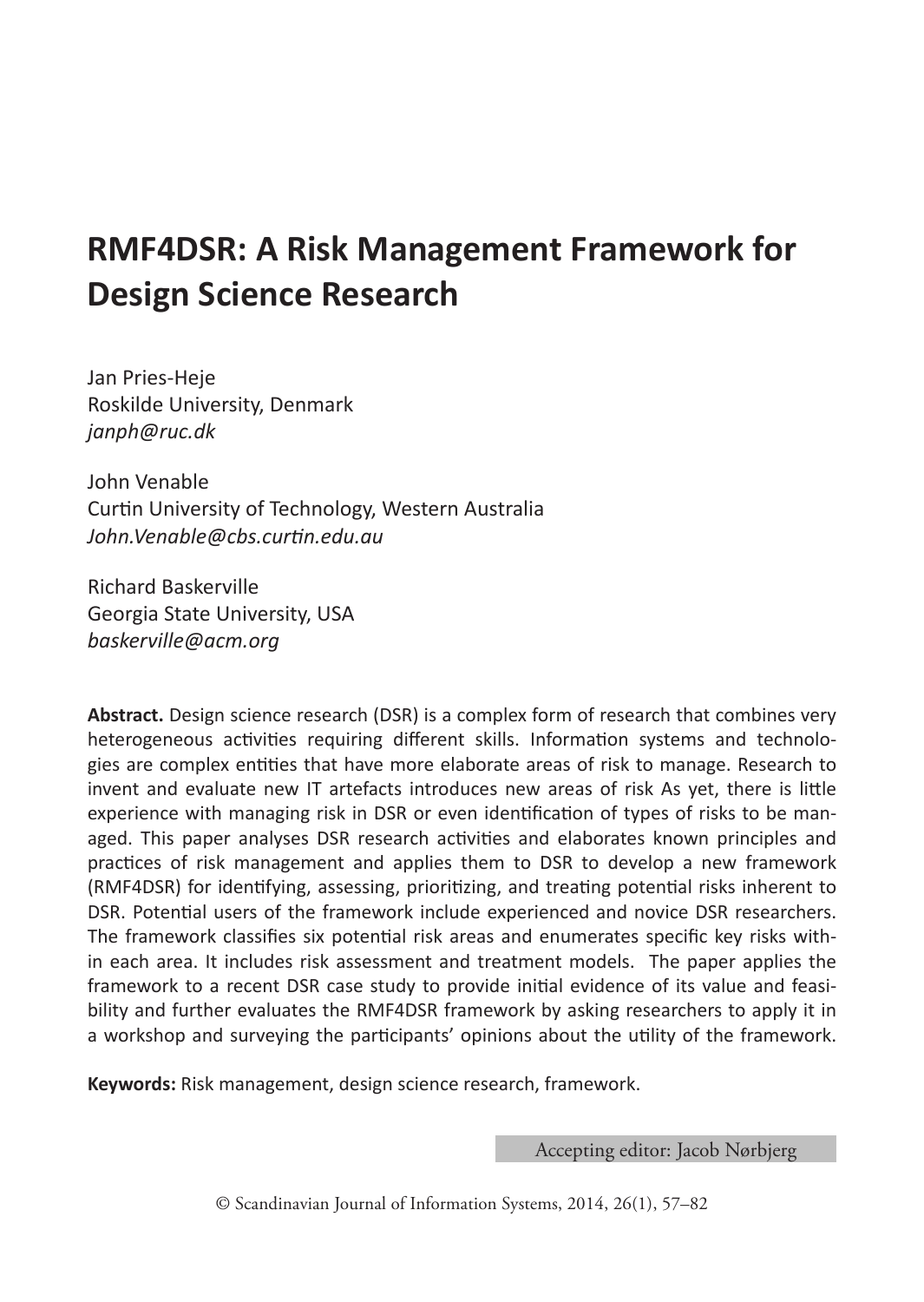# **RMF4DSR: A Risk Management Framework for Design Science Research**

Jan Pries-Heje Roskilde University, Denmark *janph@ruc.dk*

John Venable Curtin University of Technology, Western Australia *John.Venable@cbs.curtin.edu.au*

Richard Baskerville Georgia State University, USA *baskerville@acm.org*

**Abstract.** Design science research (DSR) is a complex form of research that combines very heterogeneous activities requiring different skills. Information systems and technologies are complex entities that have more elaborate areas of risk to manage. Research to invent and evaluate new IT artefacts introduces new areas of risk As yet, there is little experience with managing risk in DSR or even identification of types of risks to be managed. This paper analyses DSR research activities and elaborates known principles and practices of risk management and applies them to DSR to develop a new framework (RMF4DSR) for identifying, assessing, prioritizing, and treating potential risks inherent to DSR. Potential users of the framework include experienced and novice DSR researchers. The framework classifies six potential risk areas and enumerates specific key risks within each area. It includes risk assessment and treatment models. The paper applies the framework to a recent DSR case study to provide initial evidence of its value and feasibility and further evaluates the RMF4DSR framework by asking researchers to apply it in a workshop and surveying the participants' opinions about the utility of the framework.

**Keywords:** Risk management, design science research, framework.

Accepting editor: Jacob Nørbjerg

© Scandinavian Journal of Information Systems, 2014, 26(1), 57–82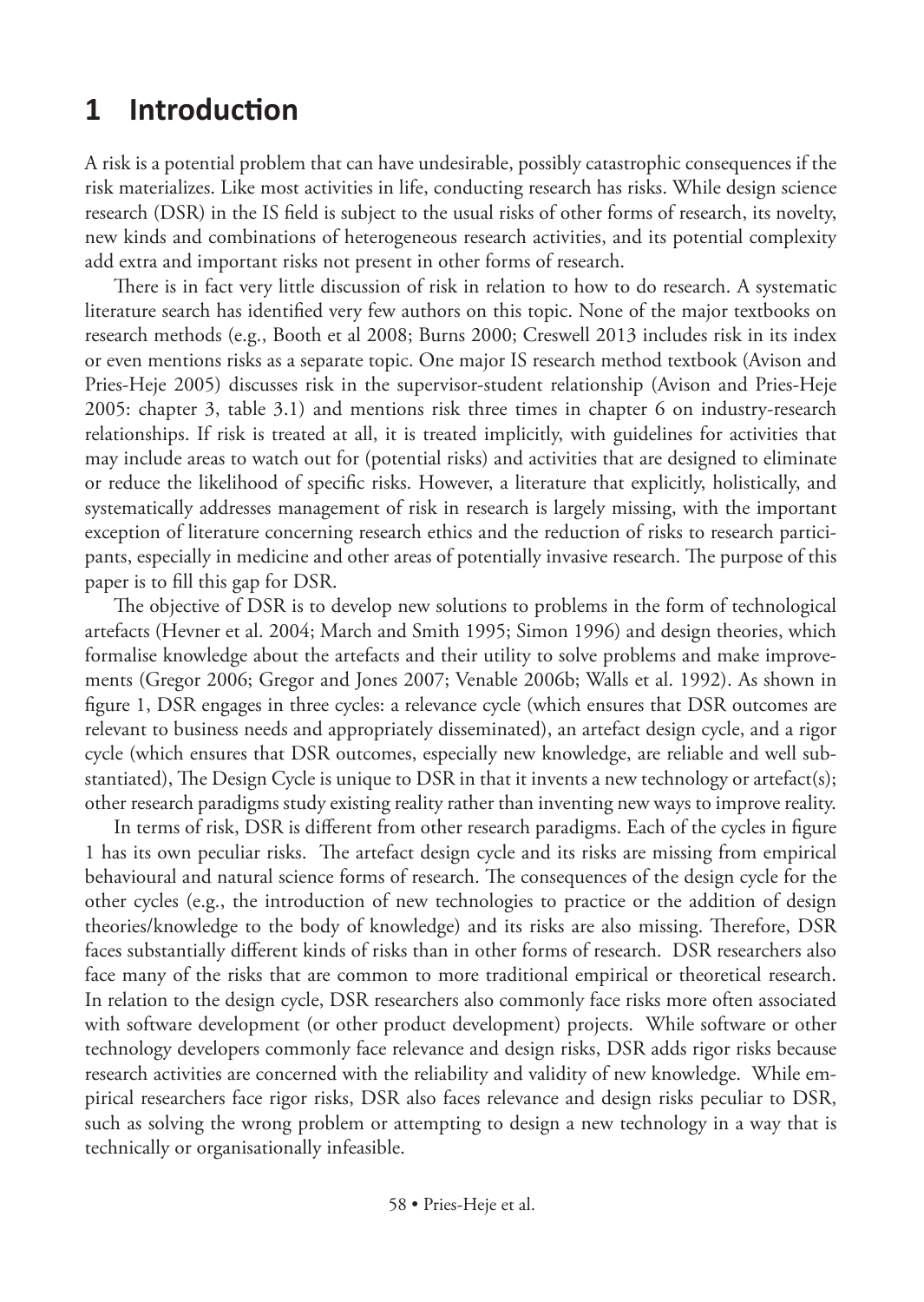# **1 Introduction**

A risk is a potential problem that can have undesirable, possibly catastrophic consequences if the risk materializes. Like most activities in life, conducting research has risks. While design science research (DSR) in the IS field is subject to the usual risks of other forms of research, its novelty, new kinds and combinations of heterogeneous research activities, and its potential complexity add extra and important risks not present in other forms of research.

There is in fact very little discussion of risk in relation to how to do research. A systematic literature search has identified very few authors on this topic. None of the major textbooks on research methods (e.g., Booth et al 2008; Burns 2000; Creswell 2013 includes risk in its index or even mentions risks as a separate topic. One major IS research method textbook (Avison and Pries-Heje 2005) discusses risk in the supervisor-student relationship (Avison and Pries-Heje 2005: chapter 3, table 3.1) and mentions risk three times in chapter 6 on industry-research relationships. If risk is treated at all, it is treated implicitly, with guidelines for activities that may include areas to watch out for (potential risks) and activities that are designed to eliminate or reduce the likelihood of specific risks. However, a literature that explicitly, holistically, and systematically addresses management of risk in research is largely missing, with the important exception of literature concerning research ethics and the reduction of risks to research participants, especially in medicine and other areas of potentially invasive research. The purpose of this paper is to fill this gap for DSR.

The objective of DSR is to develop new solutions to problems in the form of technological artefacts (Hevner et al. 2004; March and Smith 1995; Simon 1996) and design theories, which formalise knowledge about the artefacts and their utility to solve problems and make improvements (Gregor 2006; Gregor and Jones 2007; Venable 2006b; Walls et al. 1992). As shown in figure 1, DSR engages in three cycles: a relevance cycle (which ensures that DSR outcomes are relevant to business needs and appropriately disseminated), an artefact design cycle, and a rigor cycle (which ensures that DSR outcomes, especially new knowledge, are reliable and well substantiated), The Design Cycle is unique to DSR in that it invents a new technology or artefact(s); other research paradigms study existing reality rather than inventing new ways to improve reality.

In terms of risk, DSR is different from other research paradigms. Each of the cycles in figure 1 has its own peculiar risks. The artefact design cycle and its risks are missing from empirical behavioural and natural science forms of research. The consequences of the design cycle for the other cycles (e.g., the introduction of new technologies to practice or the addition of design theories/knowledge to the body of knowledge) and its risks are also missing. Therefore, DSR faces substantially different kinds of risks than in other forms of research. DSR researchers also face many of the risks that are common to more traditional empirical or theoretical research. In relation to the design cycle, DSR researchers also commonly face risks more often associated with software development (or other product development) projects. While software or other technology developers commonly face relevance and design risks, DSR adds rigor risks because research activities are concerned with the reliability and validity of new knowledge. While empirical researchers face rigor risks, DSR also faces relevance and design risks peculiar to DSR, such as solving the wrong problem or attempting to design a new technology in a way that is technically or organisationally infeasible.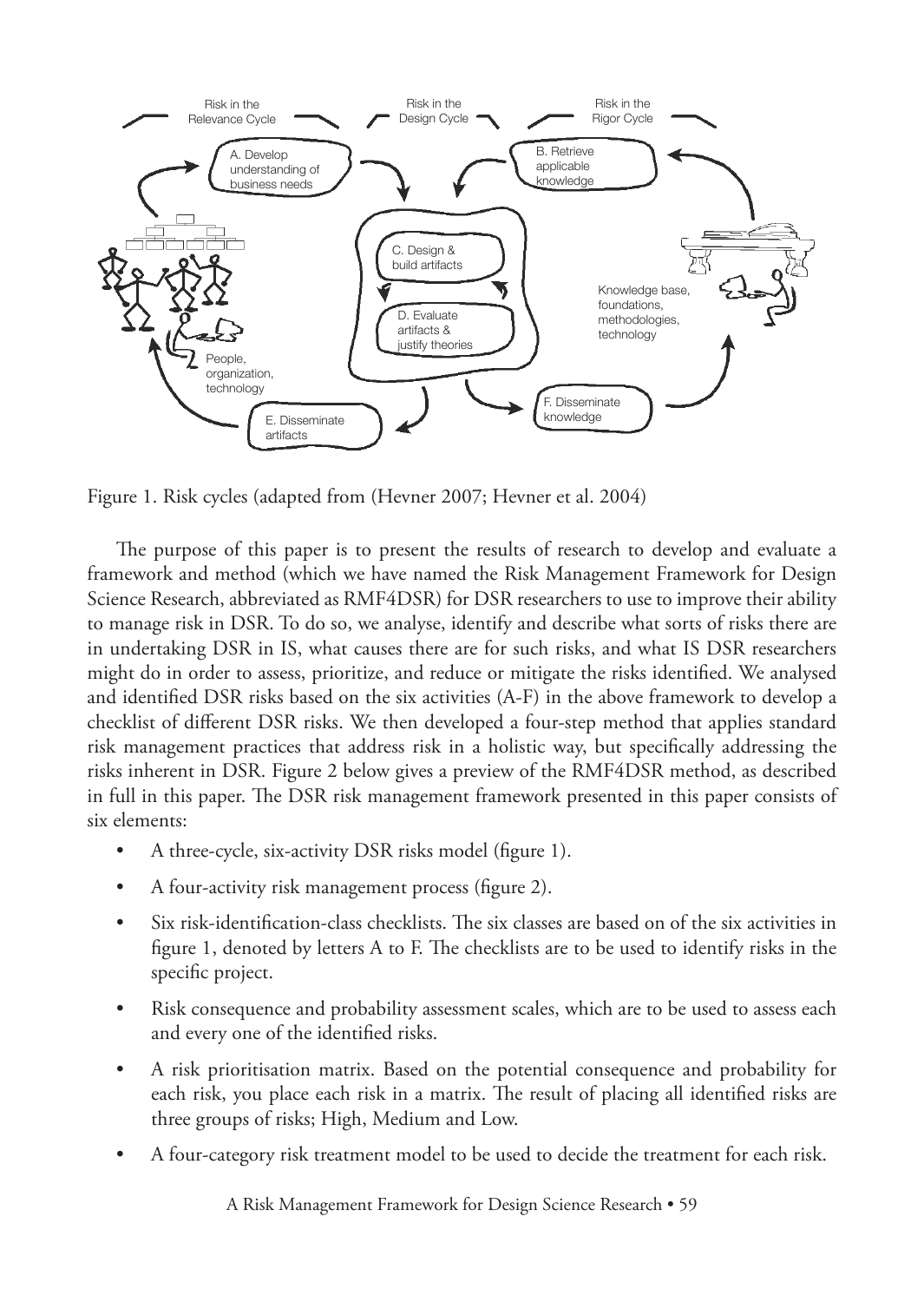

Figure 1. Risk cycles (adapted from (Hevner 2007; Hevner et al. 2004)

The purpose of this paper is to present the results of research to develop and evaluate a framework and method (which we have named the Risk Management Framework for Design Science Research, abbreviated as RMF4DSR) for DSR researchers to use to improve their ability to manage risk in DSR. To do so, we analyse, identify and describe what sorts of risks there are in undertaking DSR in IS, what causes there are for such risks, and what IS DSR researchers might do in order to assess, prioritize, and reduce or mitigate the risks identified. We analysed and identified DSR risks based on the six activities (A-F) in the above framework to develop a checklist of different DSR risks. We then developed a four-step method that applies standard risk management practices that address risk in a holistic way, but specifically addressing the risks inherent in DSR. Figure 2 below gives a preview of the RMF4DSR method, as described in full in this paper. The DSR risk management framework presented in this paper consists of six elements:

- A three-cycle, six-activity DSR risks model (figure 1).
- A four-activity risk management process (figure 2).
- Six risk-identification-class checklists. The six classes are based on of the six activities in figure 1, denoted by letters A to F. The checklists are to be used to identify risks in the specific project.
- Risk consequence and probability assessment scales, which are to be used to assess each and every one of the identified risks.
- A risk prioritisation matrix. Based on the potential consequence and probability for each risk, you place each risk in a matrix. The result of placing all identified risks are three groups of risks; High, Medium and Low.
- A four-category risk treatment model to be used to decide the treatment for each risk.

A Risk Management Framework for Design Science Research • 59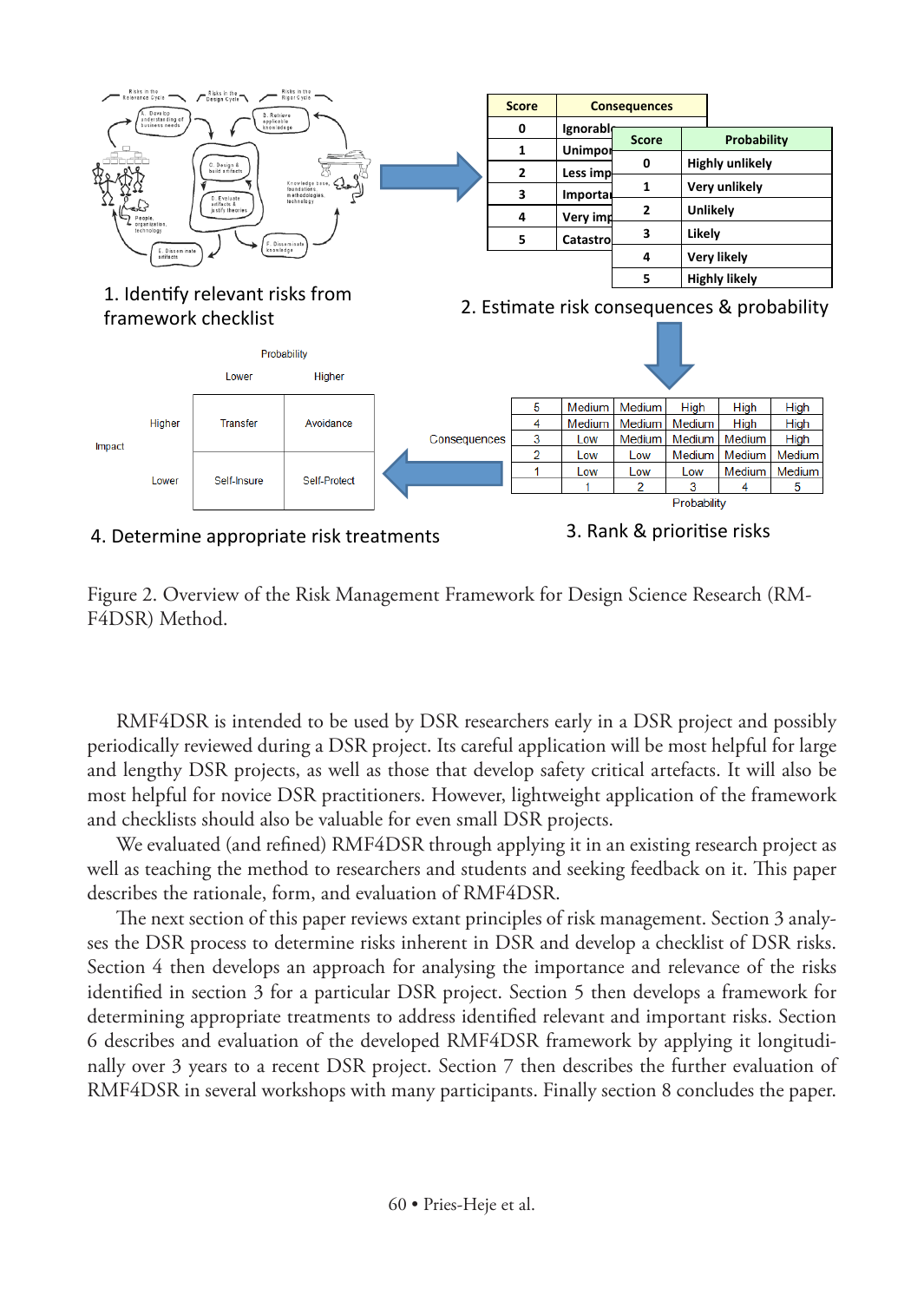

Figure 2. Overview of the Risk Management Framework for Design Science Research (RM-

F4DSR) Method.

RMF4DSR is intended to be used by DSR researchers early in a DSR project and possibly periodically reviewed during a DSR project. Its careful application will be most helpful for large and lengthy DSR projects, as well as those that develop safety critical artefacts. It will also be most helpful for novice DSR practitioners. However, lightweight application of the framework and checklists should also be valuable for even small DSR projects.

We evaluated (and refined) RMF4DSR through applying it in an existing research project as well as teaching the method to researchers and students and seeking feedback on it. This paper describes the rationale, form, and evaluation of RMF4DSR.

The next section of this paper reviews extant principles of risk management. Section 3 analyses the DSR process to determine risks inherent in DSR and develop a checklist of DSR risks. Section 4 then develops an approach for analysing the importance and relevance of the risks identified in section 3 for a particular DSR project. Section 5 then develops a framework for determining appropriate treatments to address identified relevant and important risks. Section 6 describes and evaluation of the developed RMF4DSR framework by applying it longitudinally over 3 years to a recent DSR project. Section 7 then describes the further evaluation of RMF4DSR in several workshops with many participants. Finally section 8 concludes the paper.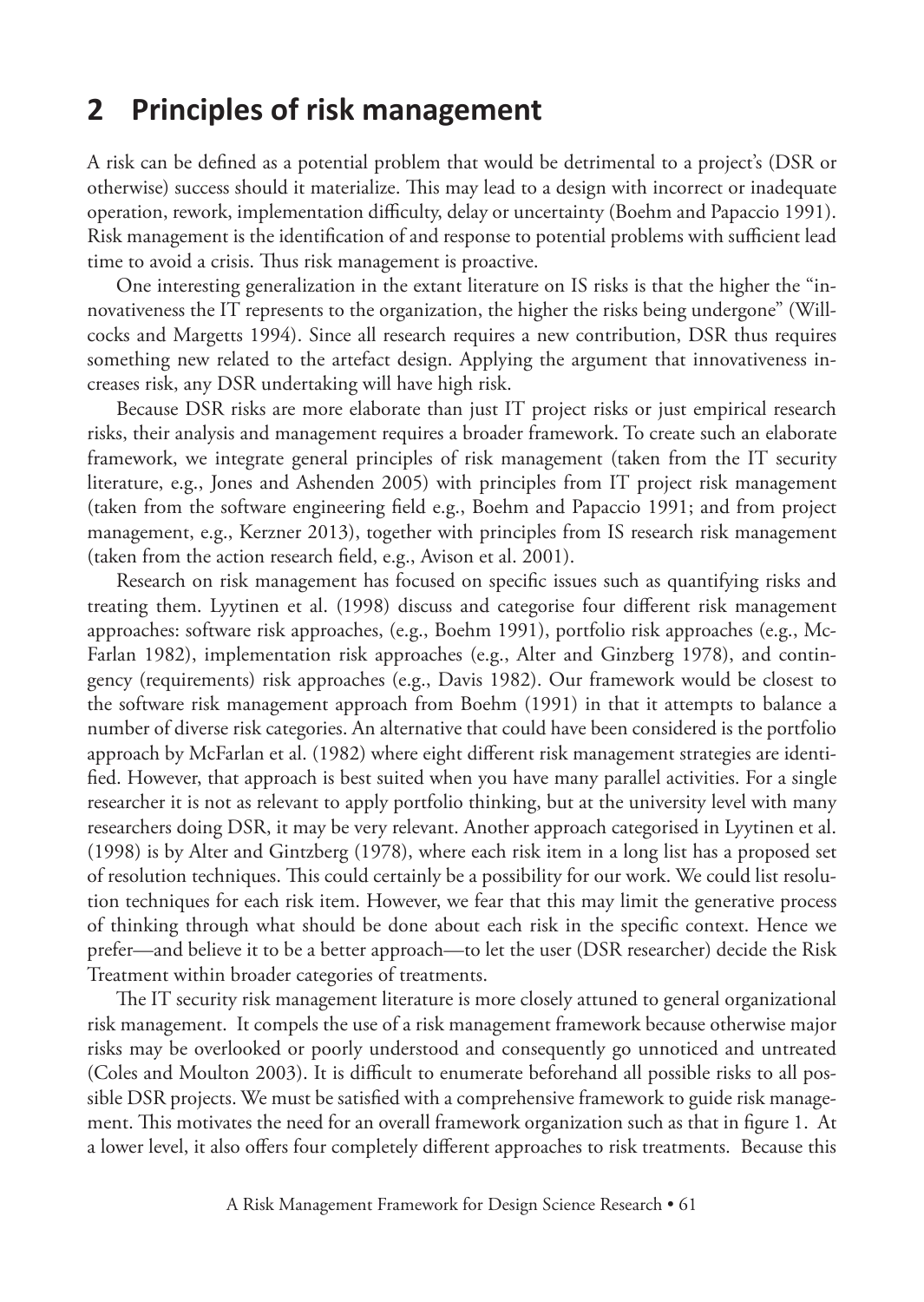# **2 Principles of risk management**

A risk can be defined as a potential problem that would be detrimental to a project's (DSR or otherwise) success should it materialize. This may lead to a design with incorrect or inadequate operation, rework, implementation difficulty, delay or uncertainty (Boehm and Papaccio 1991). Risk management is the identification of and response to potential problems with sufficient lead time to avoid a crisis. Thus risk management is proactive.

One interesting generalization in the extant literature on IS risks is that the higher the "innovativeness the IT represents to the organization, the higher the risks being undergone" (Willcocks and Margetts 1994). Since all research requires a new contribution, DSR thus requires something new related to the artefact design. Applying the argument that innovativeness increases risk, any DSR undertaking will have high risk.

Because DSR risks are more elaborate than just IT project risks or just empirical research risks, their analysis and management requires a broader framework. To create such an elaborate framework, we integrate general principles of risk management (taken from the IT security literature, e.g., Jones and Ashenden 2005) with principles from IT project risk management (taken from the software engineering field e.g., Boehm and Papaccio 1991; and from project management, e.g., Kerzner 2013), together with principles from IS research risk management (taken from the action research field, e.g., Avison et al. 2001).

Research on risk management has focused on specific issues such as quantifying risks and treating them. Lyytinen et al. (1998) discuss and categorise four different risk management approaches: software risk approaches, (e.g., Boehm 1991), portfolio risk approaches (e.g., Mc-Farlan 1982), implementation risk approaches (e.g., Alter and Ginzberg 1978), and contingency (requirements) risk approaches (e.g., Davis 1982). Our framework would be closest to the software risk management approach from Boehm (1991) in that it attempts to balance a number of diverse risk categories. An alternative that could have been considered is the portfolio approach by McFarlan et al. (1982) where eight different risk management strategies are identified. However, that approach is best suited when you have many parallel activities. For a single researcher it is not as relevant to apply portfolio thinking, but at the university level with many researchers doing DSR, it may be very relevant. Another approach categorised in Lyytinen et al. (1998) is by Alter and Gintzberg (1978), where each risk item in a long list has a proposed set of resolution techniques. This could certainly be a possibility for our work. We could list resolution techniques for each risk item. However, we fear that this may limit the generative process of thinking through what should be done about each risk in the specific context. Hence we prefer—and believe it to be a better approach—to let the user (DSR researcher) decide the Risk Treatment within broader categories of treatments.

The IT security risk management literature is more closely attuned to general organizational risk management. It compels the use of a risk management framework because otherwise major risks may be overlooked or poorly understood and consequently go unnoticed and untreated (Coles and Moulton 2003). It is difficult to enumerate beforehand all possible risks to all possible DSR projects. We must be satisfied with a comprehensive framework to guide risk management. This motivates the need for an overall framework organization such as that in figure 1. At a lower level, it also offers four completely different approaches to risk treatments. Because this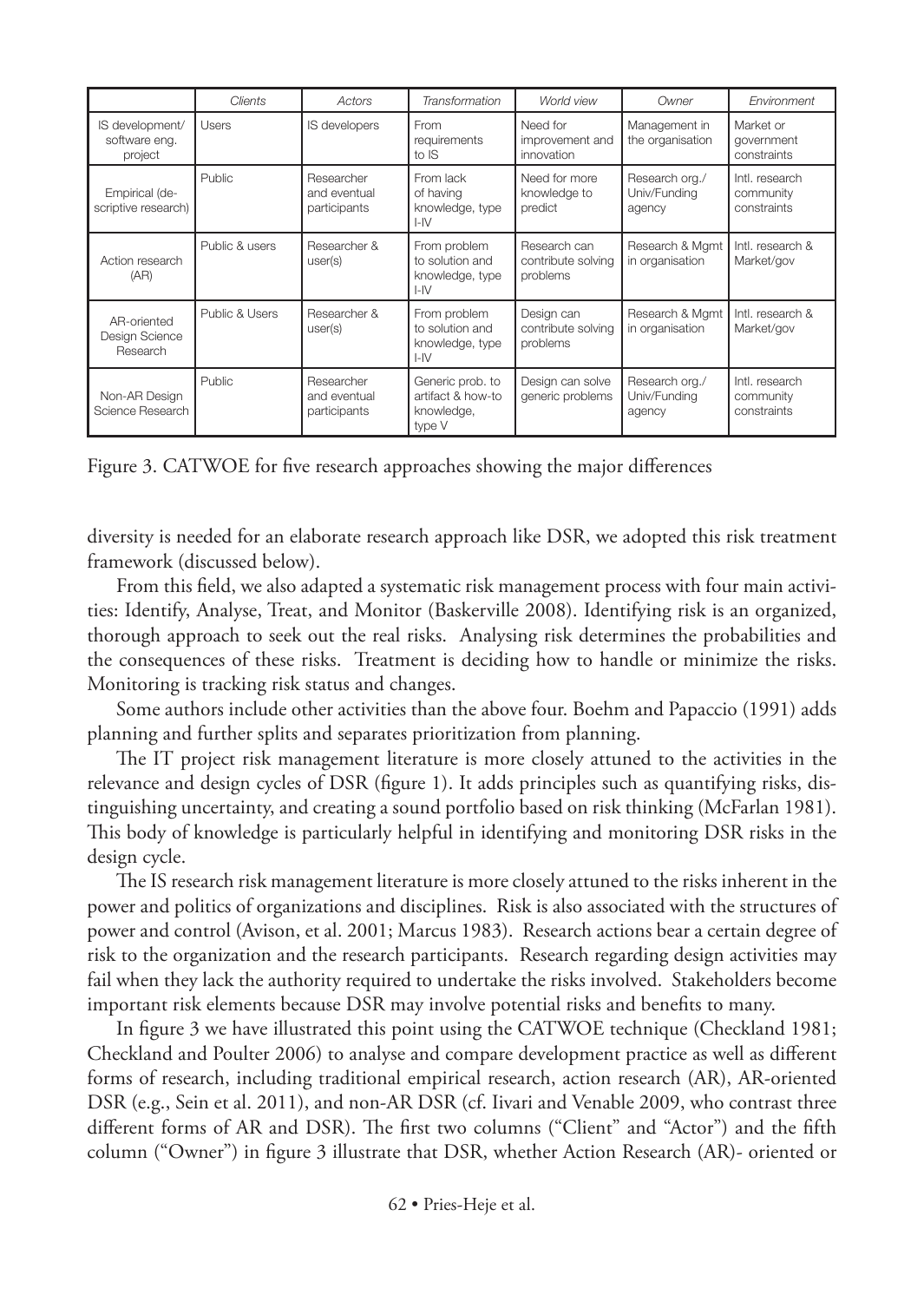|                                             | Clients        | Actors                                     | Transformation                                                 | World view                                     | Owner                                    | Environment                                |
|---------------------------------------------|----------------|--------------------------------------------|----------------------------------------------------------------|------------------------------------------------|------------------------------------------|--------------------------------------------|
| IS development/<br>software eng.<br>project | Users          | IS developers                              | From<br>requirements<br>to IS                                  | Need for<br>improvement and<br>innovation      | Management in<br>the organisation        | Market or<br>government<br>constraints     |
| Empirical (de-<br>scriptive research)       | Public         | Researcher<br>and eventual<br>participants | From lack<br>of having<br>knowledge, type<br>$I - IV$          | Need for more<br>knowledge to<br>predict       | Research org./<br>Univ/Funding<br>agency | Intl. research<br>community<br>constraints |
| Action research<br>(AR)                     | Public & users | Researcher &<br>user(s)                    | From problem<br>to solution and<br>knowledge, type<br>$I - IV$ | Research can<br>contribute solving<br>problems | Research & Mgmt<br>in organisation       | Intl. research &<br>Market/gov             |
| AR-oriented<br>Design Science<br>Research   | Public & Users | Researcher &<br>user(s)                    | From problem<br>to solution and<br>knowledge, type<br>$I - IV$ | Design can<br>contribute solving<br>problems   | Research & Mgmt<br>in organisation       | Intl. research &<br>Market/gov             |
| Non-AR Design<br>Science Research           | Public         | Researcher<br>and eventual<br>participants | Generic prob. to<br>artifact & how-to<br>knowledge,<br>type V  | Design can solve<br>generic problems           | Research org./<br>Univ/Fundina<br>agency | Intl. research<br>community<br>constraints |

Figure 3. CATWOE for five research approaches showing the major differences

diversity is needed for an elaborate research approach like DSR, we adopted this risk treatment framework (discussed below).

From this field, we also adapted a systematic risk management process with four main activities: Identify, Analyse, Treat, and Monitor (Baskerville 2008). Identifying risk is an organized, thorough approach to seek out the real risks. Analysing risk determines the probabilities and the consequences of these risks. Treatment is deciding how to handle or minimize the risks. Monitoring is tracking risk status and changes.

Some authors include other activities than the above four. Boehm and Papaccio (1991) adds planning and further splits and separates prioritization from planning.

The IT project risk management literature is more closely attuned to the activities in the relevance and design cycles of DSR (figure 1). It adds principles such as quantifying risks, distinguishing uncertainty, and creating a sound portfolio based on risk thinking (McFarlan 1981). This body of knowledge is particularly helpful in identifying and monitoring DSR risks in the design cycle.

The IS research risk management literature is more closely attuned to the risks inherent in the power and politics of organizations and disciplines. Risk is also associated with the structures of power and control (Avison, et al. 2001; Marcus 1983). Research actions bear a certain degree of risk to the organization and the research participants. Research regarding design activities may fail when they lack the authority required to undertake the risks involved. Stakeholders become important risk elements because DSR may involve potential risks and benefits to many.

In figure 3 we have illustrated this point using the CATWOE technique (Checkland 1981; Checkland and Poulter 2006) to analyse and compare development practice as well as different forms of research, including traditional empirical research, action research (AR), AR-oriented DSR (e.g., Sein et al. 2011), and non-AR DSR (cf. Iivari and Venable 2009, who contrast three different forms of AR and DSR). The first two columns ("Client" and "Actor") and the fifth column ("Owner") in figure 3 illustrate that DSR, whether Action Research (AR)- oriented or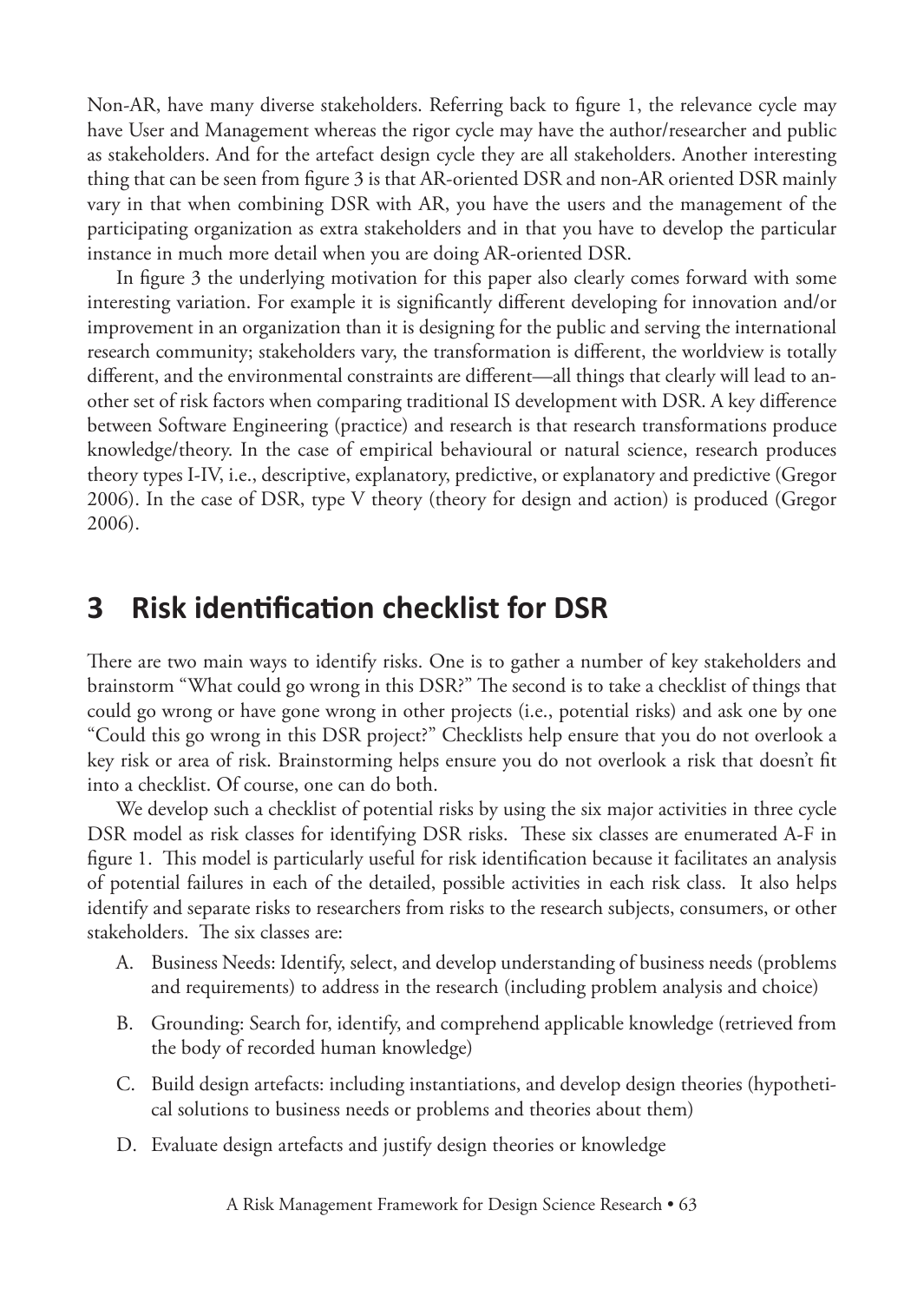Non-AR, have many diverse stakeholders. Referring back to figure 1, the relevance cycle may have User and Management whereas the rigor cycle may have the author/researcher and public as stakeholders. And for the artefact design cycle they are all stakeholders. Another interesting thing that can be seen from figure 3 is that AR-oriented DSR and non-AR oriented DSR mainly vary in that when combining DSR with AR, you have the users and the management of the participating organization as extra stakeholders and in that you have to develop the particular instance in much more detail when you are doing AR-oriented DSR.

In figure 3 the underlying motivation for this paper also clearly comes forward with some interesting variation. For example it is significantly different developing for innovation and/or improvement in an organization than it is designing for the public and serving the international research community; stakeholders vary, the transformation is different, the worldview is totally different, and the environmental constraints are different—all things that clearly will lead to another set of risk factors when comparing traditional IS development with DSR. A key difference between Software Engineering (practice) and research is that research transformations produce knowledge/theory. In the case of empirical behavioural or natural science, research produces theory types I-IV, i.e., descriptive, explanatory, predictive, or explanatory and predictive (Gregor 2006). In the case of DSR, type V theory (theory for design and action) is produced (Gregor 2006).

# **3 Risk identification checklist for DSR**

There are two main ways to identify risks. One is to gather a number of key stakeholders and brainstorm "What could go wrong in this DSR?" The second is to take a checklist of things that could go wrong or have gone wrong in other projects (i.e., potential risks) and ask one by one "Could this go wrong in this DSR project?" Checklists help ensure that you do not overlook a key risk or area of risk. Brainstorming helps ensure you do not overlook a risk that doesn't fit into a checklist. Of course, one can do both.

We develop such a checklist of potential risks by using the six major activities in three cycle DSR model as risk classes for identifying DSR risks. These six classes are enumerated A-F in figure 1. This model is particularly useful for risk identification because it facilitates an analysis of potential failures in each of the detailed, possible activities in each risk class. It also helps identify and separate risks to researchers from risks to the research subjects, consumers, or other stakeholders. The six classes are:

- A. Business Needs: Identify, select, and develop understanding of business needs (problems and requirements) to address in the research (including problem analysis and choice)
- B. Grounding: Search for, identify, and comprehend applicable knowledge (retrieved from the body of recorded human knowledge)
- C. Build design artefacts: including instantiations, and develop design theories (hypothetical solutions to business needs or problems and theories about them)
- D. Evaluate design artefacts and justify design theories or knowledge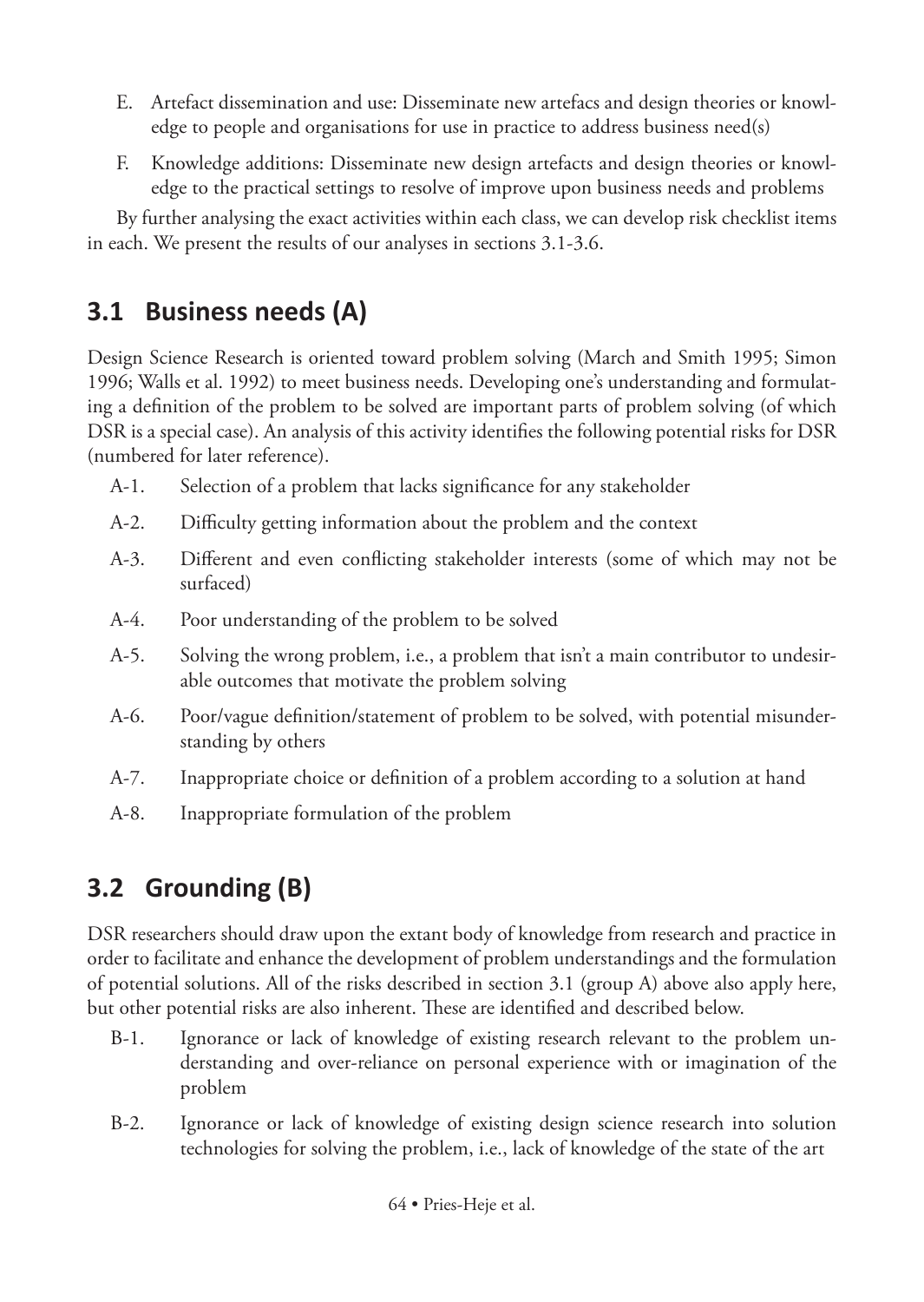- E. Artefact dissemination and use: Disseminate new artefacs and design theories or knowledge to people and organisations for use in practice to address business need(s)
- F. Knowledge additions: Disseminate new design artefacts and design theories or knowledge to the practical settings to resolve of improve upon business needs and problems

By further analysing the exact activities within each class, we can develop risk checklist items in each. We present the results of our analyses in sections 3.1-3.6.

# **3.1 Business needs (A)**

Design Science Research is oriented toward problem solving (March and Smith 1995; Simon 1996; Walls et al. 1992) to meet business needs. Developing one's understanding and formulating a definition of the problem to be solved are important parts of problem solving (of which DSR is a special case). An analysis of this activity identifies the following potential risks for DSR (numbered for later reference).

- A-1. Selection of a problem that lacks significance for any stakeholder
- A-2. Difficulty getting information about the problem and the context
- A-3. Different and even conflicting stakeholder interests (some of which may not be surfaced)
- A-4. Poor understanding of the problem to be solved
- A-5. Solving the wrong problem, i.e., a problem that isn't a main contributor to undesirable outcomes that motivate the problem solving
- A-6. Poor/vague definition/statement of problem to be solved, with potential misunderstanding by others
- A-7. Inappropriate choice or definition of a problem according to a solution at hand
- A-8. Inappropriate formulation of the problem

# **3.2 Grounding (B)**

DSR researchers should draw upon the extant body of knowledge from research and practice in order to facilitate and enhance the development of problem understandings and the formulation of potential solutions. All of the risks described in section 3.1 (group A) above also apply here, but other potential risks are also inherent. These are identified and described below.

- B-1. Ignorance or lack of knowledge of existing research relevant to the problem understanding and over-reliance on personal experience with or imagination of the problem
- B-2. Ignorance or lack of knowledge of existing design science research into solution technologies for solving the problem, i.e., lack of knowledge of the state of the art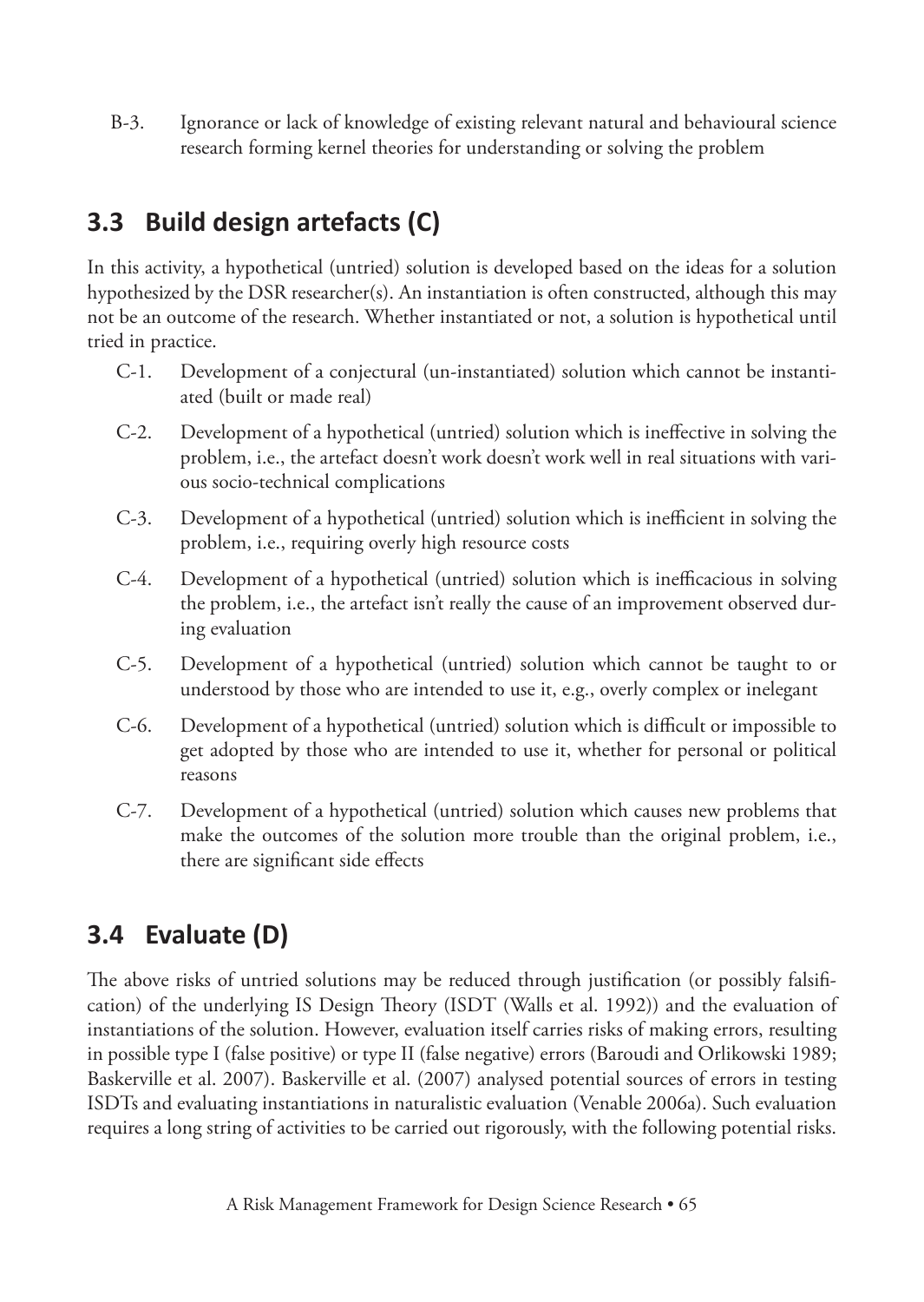B-3. Ignorance or lack of knowledge of existing relevant natural and behavioural science research forming kernel theories for understanding or solving the problem

# **3.3 Build design artefacts (C)**

In this activity, a hypothetical (untried) solution is developed based on the ideas for a solution hypothesized by the DSR researcher(s). An instantiation is often constructed, although this may not be an outcome of the research. Whether instantiated or not, a solution is hypothetical until tried in practice.

- C-1. Development of a conjectural (un-instantiated) solution which cannot be instantiated (built or made real)
- C-2. Development of a hypothetical (untried) solution which is ineffective in solving the problem, i.e., the artefact doesn't work doesn't work well in real situations with various socio-technical complications
- C-3. Development of a hypothetical (untried) solution which is inefficient in solving the problem, i.e., requiring overly high resource costs
- C-4. Development of a hypothetical (untried) solution which is inefficacious in solving the problem, i.e., the artefact isn't really the cause of an improvement observed during evaluation
- C-5. Development of a hypothetical (untried) solution which cannot be taught to or understood by those who are intended to use it, e.g., overly complex or inelegant
- C-6. Development of a hypothetical (untried) solution which is difficult or impossible to get adopted by those who are intended to use it, whether for personal or political reasons
- C-7. Development of a hypothetical (untried) solution which causes new problems that make the outcomes of the solution more trouble than the original problem, i.e., there are significant side effects

# **3.4 Evaluate (D)**

The above risks of untried solutions may be reduced through justification (or possibly falsification) of the underlying IS Design Theory (ISDT (Walls et al. 1992)) and the evaluation of instantiations of the solution. However, evaluation itself carries risks of making errors, resulting in possible type I (false positive) or type II (false negative) errors (Baroudi and Orlikowski 1989; Baskerville et al. 2007). Baskerville et al. (2007) analysed potential sources of errors in testing ISDTs and evaluating instantiations in naturalistic evaluation (Venable 2006a). Such evaluation requires a long string of activities to be carried out rigorously, with the following potential risks.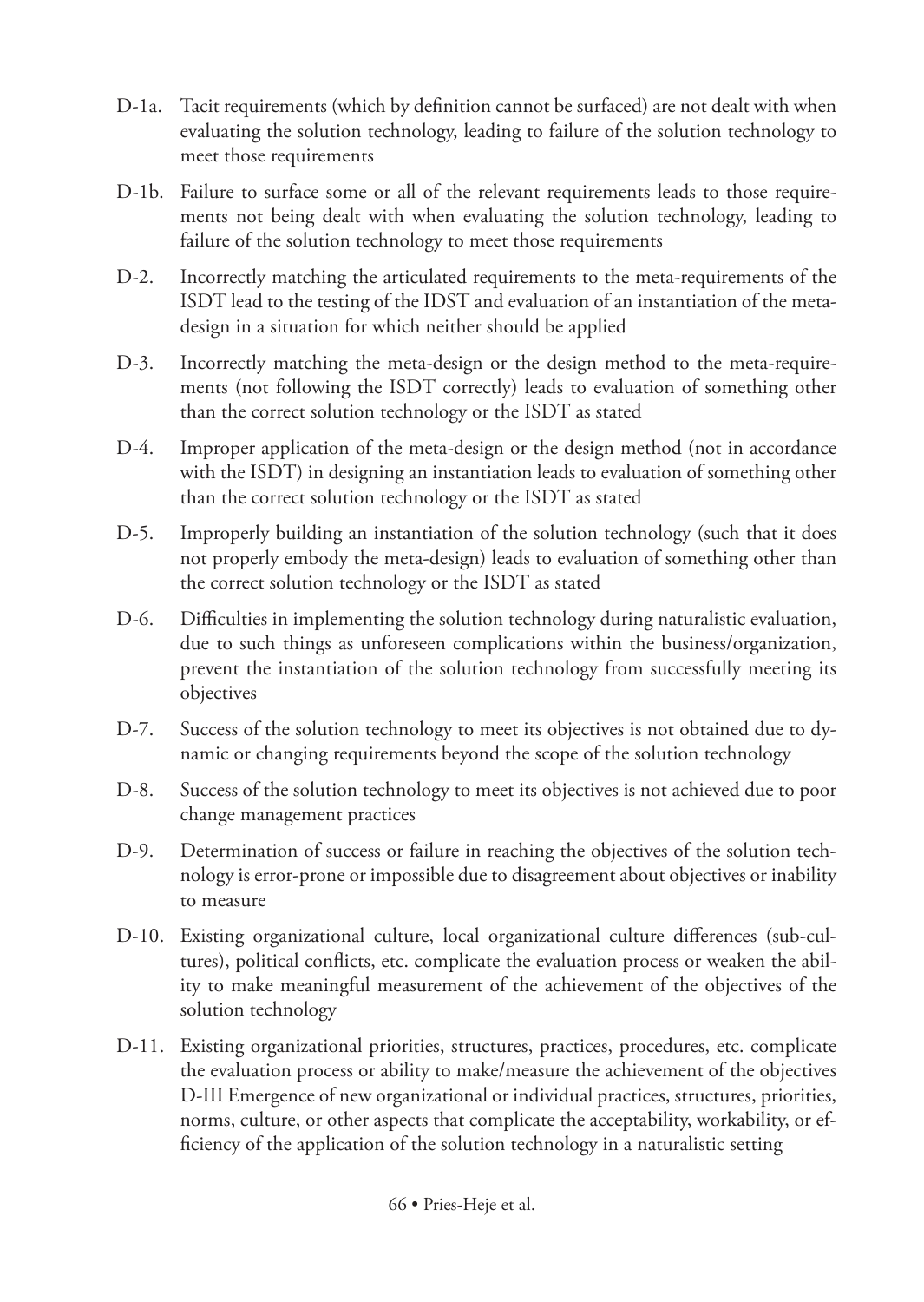- D-1a. Tacit requirements (which by definition cannot be surfaced) are not dealt with when evaluating the solution technology, leading to failure of the solution technology to meet those requirements
- D-1b. Failure to surface some or all of the relevant requirements leads to those requirements not being dealt with when evaluating the solution technology, leading to failure of the solution technology to meet those requirements
- D-2. Incorrectly matching the articulated requirements to the meta-requirements of the ISDT lead to the testing of the IDST and evaluation of an instantiation of the metadesign in a situation for which neither should be applied
- D-3. Incorrectly matching the meta-design or the design method to the meta-requirements (not following the ISDT correctly) leads to evaluation of something other than the correct solution technology or the ISDT as stated
- D-4. Improper application of the meta-design or the design method (not in accordance with the ISDT) in designing an instantiation leads to evaluation of something other than the correct solution technology or the ISDT as stated
- D-5. Improperly building an instantiation of the solution technology (such that it does not properly embody the meta-design) leads to evaluation of something other than the correct solution technology or the ISDT as stated
- D-6. Difficulties in implementing the solution technology during naturalistic evaluation, due to such things as unforeseen complications within the business/organization, prevent the instantiation of the solution technology from successfully meeting its objectives
- D-7. Success of the solution technology to meet its objectives is not obtained due to dynamic or changing requirements beyond the scope of the solution technology
- D-8. Success of the solution technology to meet its objectives is not achieved due to poor change management practices
- D-9. Determination of success or failure in reaching the objectives of the solution technology is error-prone or impossible due to disagreement about objectives or inability to measure
- D-10. Existing organizational culture, local organizational culture differences (sub-cultures), political conflicts, etc. complicate the evaluation process or weaken the ability to make meaningful measurement of the achievement of the objectives of the solution technology
- D-11. Existing organizational priorities, structures, practices, procedures, etc. complicate the evaluation process or ability to make/measure the achievement of the objectives D-III Emergence of new organizational or individual practices, structures, priorities, norms, culture, or other aspects that complicate the acceptability, workability, or efficiency of the application of the solution technology in a naturalistic setting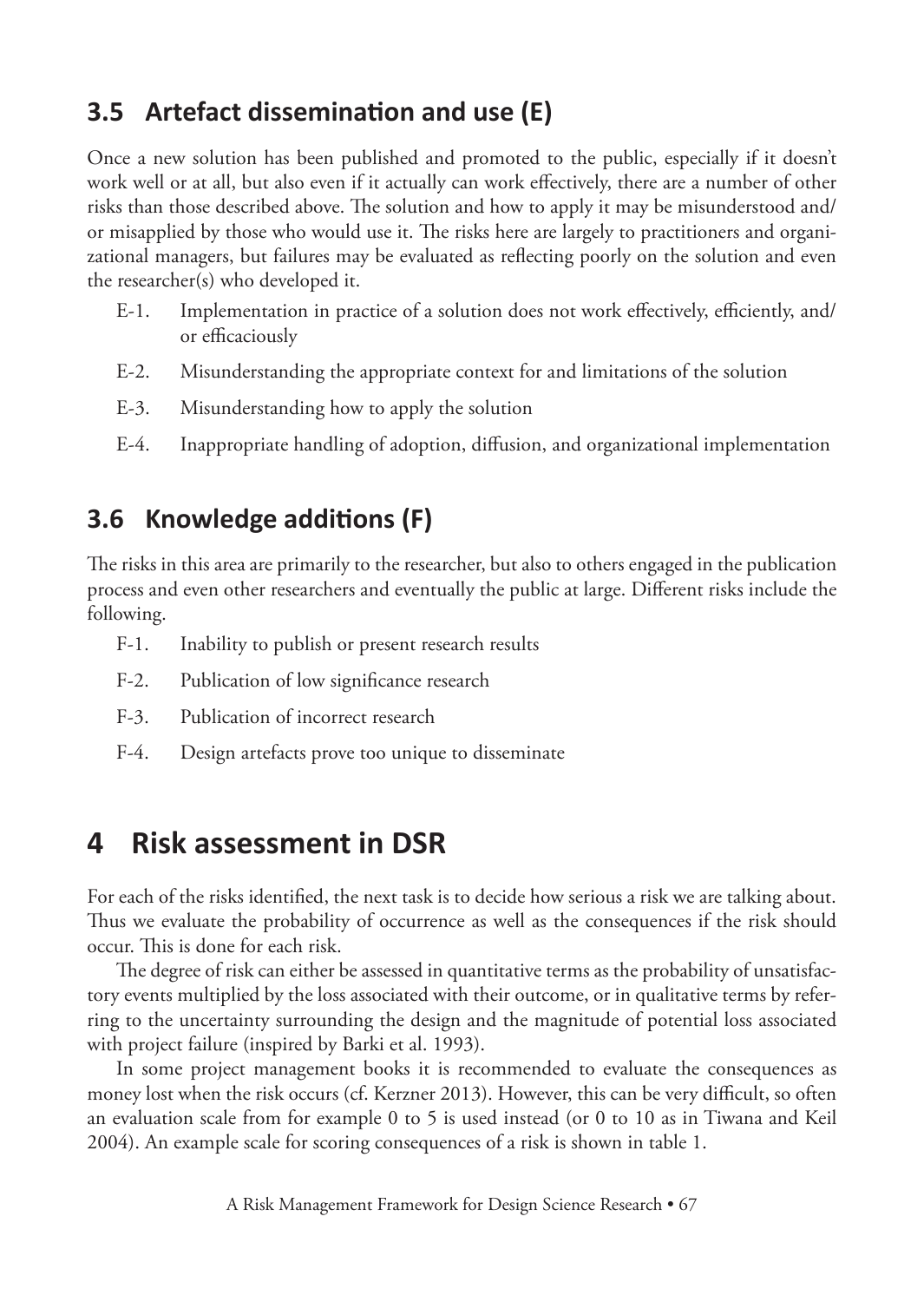### **3.5 Artefact dissemination and use (E)**

Once a new solution has been published and promoted to the public, especially if it doesn't work well or at all, but also even if it actually can work effectively, there are a number of other risks than those described above. The solution and how to apply it may be misunderstood and/ or misapplied by those who would use it. The risks here are largely to practitioners and organizational managers, but failures may be evaluated as reflecting poorly on the solution and even the researcher(s) who developed it.

- E-1. Implementation in practice of a solution does not work effectively, efficiently, and/ or efficaciously
- E-2. Misunderstanding the appropriate context for and limitations of the solution
- E-3. Misunderstanding how to apply the solution
- E-4. Inappropriate handling of adoption, diffusion, and organizational implementation

### **3.6 Knowledge additions (F)**

The risks in this area are primarily to the researcher, but also to others engaged in the publication process and even other researchers and eventually the public at large. Different risks include the following.

- F-1. Inability to publish or present research results
- F-2. Publication of low significance research
- F-3. Publication of incorrect research
- F-4. Design artefacts prove too unique to disseminate

# **4 Risk assessment in DSR**

For each of the risks identified, the next task is to decide how serious a risk we are talking about. Thus we evaluate the probability of occurrence as well as the consequences if the risk should occur. This is done for each risk.

The degree of risk can either be assessed in quantitative terms as the probability of unsatisfactory events multiplied by the loss associated with their outcome, or in qualitative terms by referring to the uncertainty surrounding the design and the magnitude of potential loss associated with project failure (inspired by Barki et al. 1993).

In some project management books it is recommended to evaluate the consequences as money lost when the risk occurs (cf. Kerzner 2013). However, this can be very difficult, so often an evaluation scale from for example 0 to 5 is used instead (or 0 to 10 as in Tiwana and Keil 2004). An example scale for scoring consequences of a risk is shown in table 1.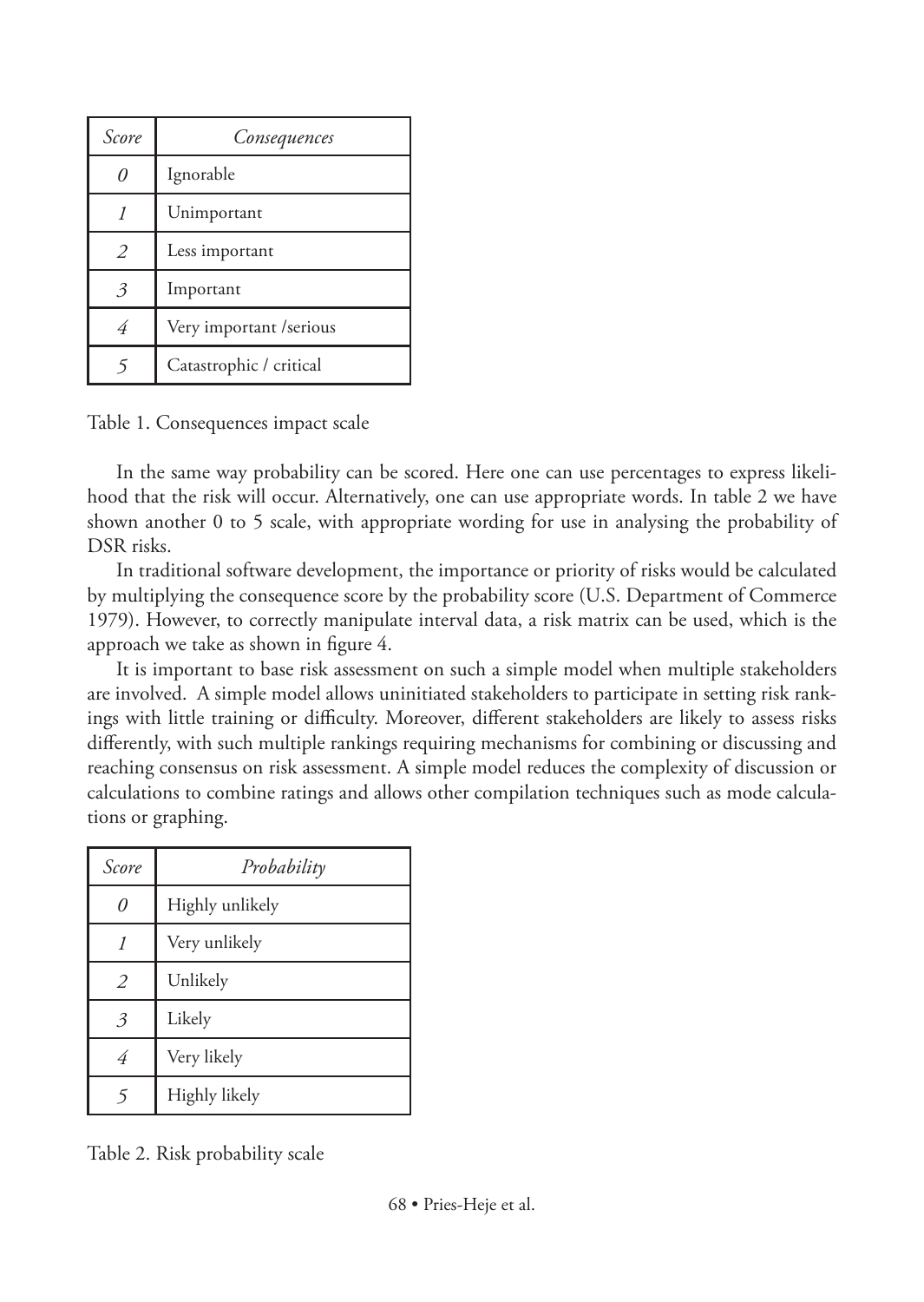| Score         | Consequences             |
|---------------|--------------------------|
|               | Ignorable                |
|               | Unimportant              |
| $\mathcal{L}$ | Less important           |
| $\mathcal{Z}$ | Important                |
| 4             | Very important / serious |
|               | Catastrophic / critical  |

Table 1. Consequences impact scale

In the same way probability can be scored. Here one can use percentages to express likelihood that the risk will occur. Alternatively, one can use appropriate words. In table 2 we have shown another 0 to 5 scale, with appropriate wording for use in analysing the probability of DSR risks.

In traditional software development, the importance or priority of risks would be calculated by multiplying the consequence score by the probability score (U.S. Department of Commerce 1979). However, to correctly manipulate interval data, a risk matrix can be used, which is the approach we take as shown in figure 4.

It is important to base risk assessment on such a simple model when multiple stakeholders are involved. A simple model allows uninitiated stakeholders to participate in setting risk rankings with little training or difficulty. Moreover, different stakeholders are likely to assess risks differently, with such multiple rankings requiring mechanisms for combining or discussing and reaching consensus on risk assessment. A simple model reduces the complexity of discussion or calculations to combine ratings and allows other compilation techniques such as mode calculations or graphing.

| Score | Probability     |
|-------|-----------------|
|       | Highly unlikely |
|       | Very unlikely   |
| 2     | Unlikely        |
| 3     | Likely          |
| 4     | Very likely     |
|       | Highly likely   |

Table 2. Risk probability scale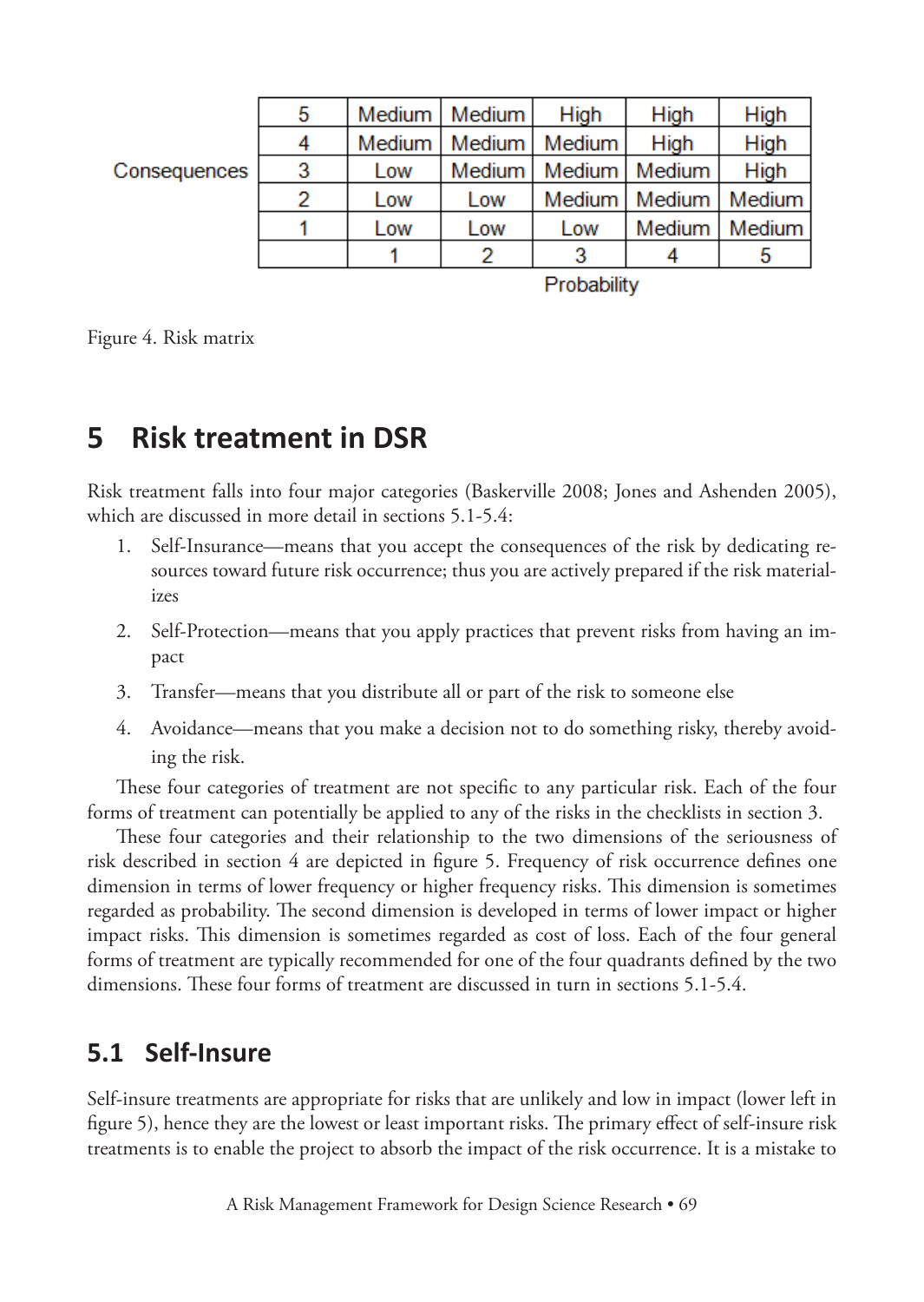|              | 5 |        | Medium   Medium | <b>High</b>     | High                     | High            |
|--------------|---|--------|-----------------|-----------------|--------------------------|-----------------|
|              | 4 | Medium |                 | Medium   Medium | High                     | High            |
| Consequences | 3 | Low    | Medium          |                 | Medium   Medium          | High            |
|              | 2 | Low    | Low             |                 | Medium   Medium   Medium |                 |
|              |   | Low    | Low             | Low             |                          | Medium   Medium |
|              |   |        |                 | 3               |                          | Ð               |

Probability

Figure 4. Risk matrix

# **5 Risk treatment in DSR**

Risk treatment falls into four major categories (Baskerville 2008; Jones and Ashenden 2005), which are discussed in more detail in sections 5.1-5.4:

- 1. Self-Insurance—means that you accept the consequences of the risk by dedicating resources toward future risk occurrence; thus you are actively prepared if the risk materializes
- 2. Self-Protection—means that you apply practices that prevent risks from having an impact
- 3. Transfer—means that you distribute all or part of the risk to someone else
- 4. Avoidance—means that you make a decision not to do something risky, thereby avoiding the risk.

These four categories of treatment are not specific to any particular risk. Each of the four forms of treatment can potentially be applied to any of the risks in the checklists in section 3.

These four categories and their relationship to the two dimensions of the seriousness of risk described in section 4 are depicted in figure 5. Frequency of risk occurrence defines one dimension in terms of lower frequency or higher frequency risks. This dimension is sometimes regarded as probability. The second dimension is developed in terms of lower impact or higher impact risks. This dimension is sometimes regarded as cost of loss. Each of the four general forms of treatment are typically recommended for one of the four quadrants defined by the two dimensions. These four forms of treatment are discussed in turn in sections 5.1-5.4.

#### **5.1 Self-Insure**

Self-insure treatments are appropriate for risks that are unlikely and low in impact (lower left in figure 5), hence they are the lowest or least important risks. The primary effect of self-insure risk treatments is to enable the project to absorb the impact of the risk occurrence. It is a mistake to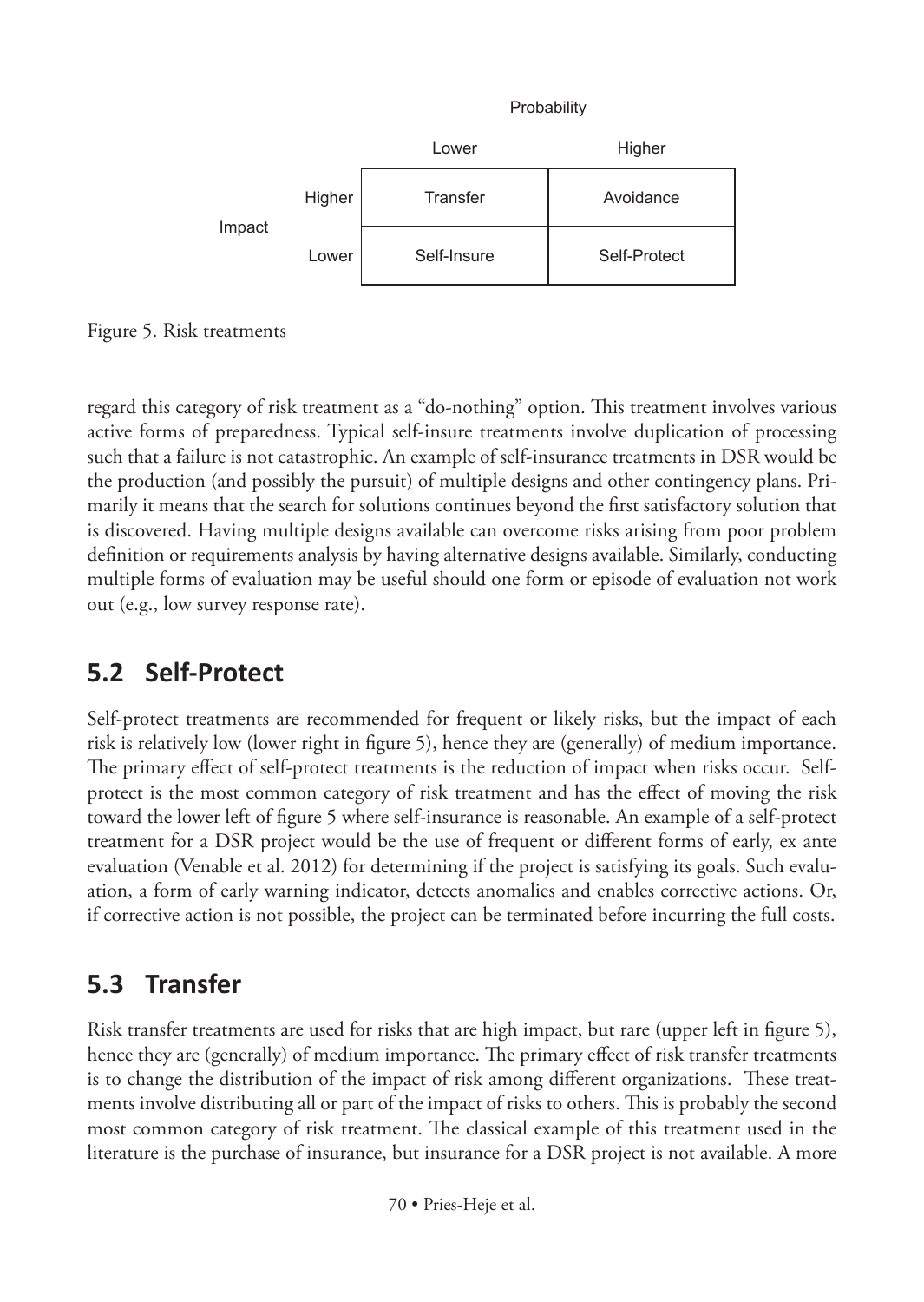

Figure 5. Risk treatments

regard this category of risk treatment as a "do-nothing" option. This treatment involves various active forms of preparedness. Typical self-insure treatments involve duplication of processing such that a failure is not catastrophic. An example of self-insurance treatments in DSR would be the production (and possibly the pursuit) of multiple designs and other contingency plans. Primarily it means that the search for solutions continues beyond the first satisfactory solution that is discovered. Having multiple designs available can overcome risks arising from poor problem definition or requirements analysis by having alternative designs available. Similarly, conducting multiple forms of evaluation may be useful should one form or episode of evaluation not work out (e.g., low survey response rate).

# **5.2 Self-Protect**

Self-protect treatments are recommended for frequent or likely risks, but the impact of each risk is relatively low (lower right in figure 5), hence they are (generally) of medium importance. The primary effect of self-protect treatments is the reduction of impact when risks occur. Selfprotect is the most common category of risk treatment and has the effect of moving the risk toward the lower left of figure 5 where self-insurance is reasonable. An example of a self-protect treatment for a DSR project would be the use of frequent or different forms of early, ex ante evaluation (Venable et al. 2012) for determining if the project is satisfying its goals. Such evaluation, a form of early warning indicator, detects anomalies and enables corrective actions. Or, if corrective action is not possible, the project can be terminated before incurring the full costs.

# **5.3 Transfer**

Risk transfer treatments are used for risks that are high impact, but rare (upper left in figure 5), hence they are (generally) of medium importance. The primary effect of risk transfer treatments is to change the distribution of the impact of risk among different organizations. These treatments involve distributing all or part of the impact of risks to others. This is probably the second most common category of risk treatment. The classical example of this treatment used in the literature is the purchase of insurance, but insurance for a DSR project is not available. A more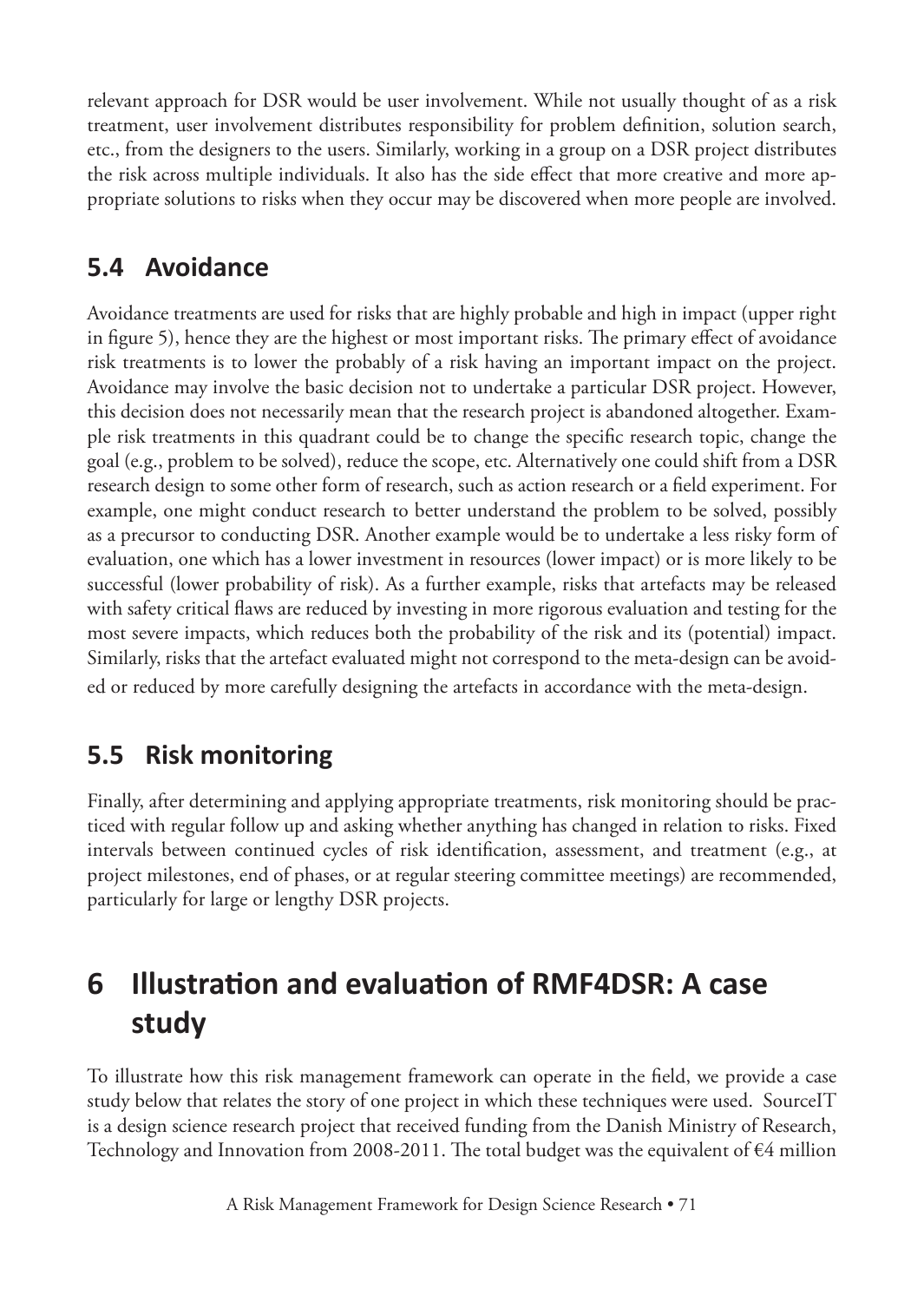relevant approach for DSR would be user involvement. While not usually thought of as a risk treatment, user involvement distributes responsibility for problem definition, solution search, etc., from the designers to the users. Similarly, working in a group on a DSR project distributes the risk across multiple individuals. It also has the side effect that more creative and more appropriate solutions to risks when they occur may be discovered when more people are involved.

#### **5.4 Avoidance**

Avoidance treatments are used for risks that are highly probable and high in impact (upper right in figure 5), hence they are the highest or most important risks. The primary effect of avoidance risk treatments is to lower the probably of a risk having an important impact on the project. Avoidance may involve the basic decision not to undertake a particular DSR project. However, this decision does not necessarily mean that the research project is abandoned altogether. Example risk treatments in this quadrant could be to change the specific research topic, change the goal (e.g., problem to be solved), reduce the scope, etc. Alternatively one could shift from a DSR research design to some other form of research, such as action research or a field experiment. For example, one might conduct research to better understand the problem to be solved, possibly as a precursor to conducting DSR. Another example would be to undertake a less risky form of evaluation, one which has a lower investment in resources (lower impact) or is more likely to be successful (lower probability of risk). As a further example, risks that artefacts may be released with safety critical flaws are reduced by investing in more rigorous evaluation and testing for the most severe impacts, which reduces both the probability of the risk and its (potential) impact. Similarly, risks that the artefact evaluated might not correspond to the meta-design can be avoided or reduced by more carefully designing the artefacts in accordance with the meta-design.

#### **5.5 Risk monitoring**

Finally, after determining and applying appropriate treatments, risk monitoring should be practiced with regular follow up and asking whether anything has changed in relation to risks. Fixed intervals between continued cycles of risk identification, assessment, and treatment (e.g., at project milestones, end of phases, or at regular steering committee meetings) are recommended, particularly for large or lengthy DSR projects.

# **6 Illustration and evaluation of RMF4DSR: A case study**

To illustrate how this risk management framework can operate in the field, we provide a case study below that relates the story of one project in which these techniques were used. SourceIT is a design science research project that received funding from the Danish Ministry of Research, Technology and Innovation from 2008-2011. The total budget was the equivalent of  $\epsilon$ 4 million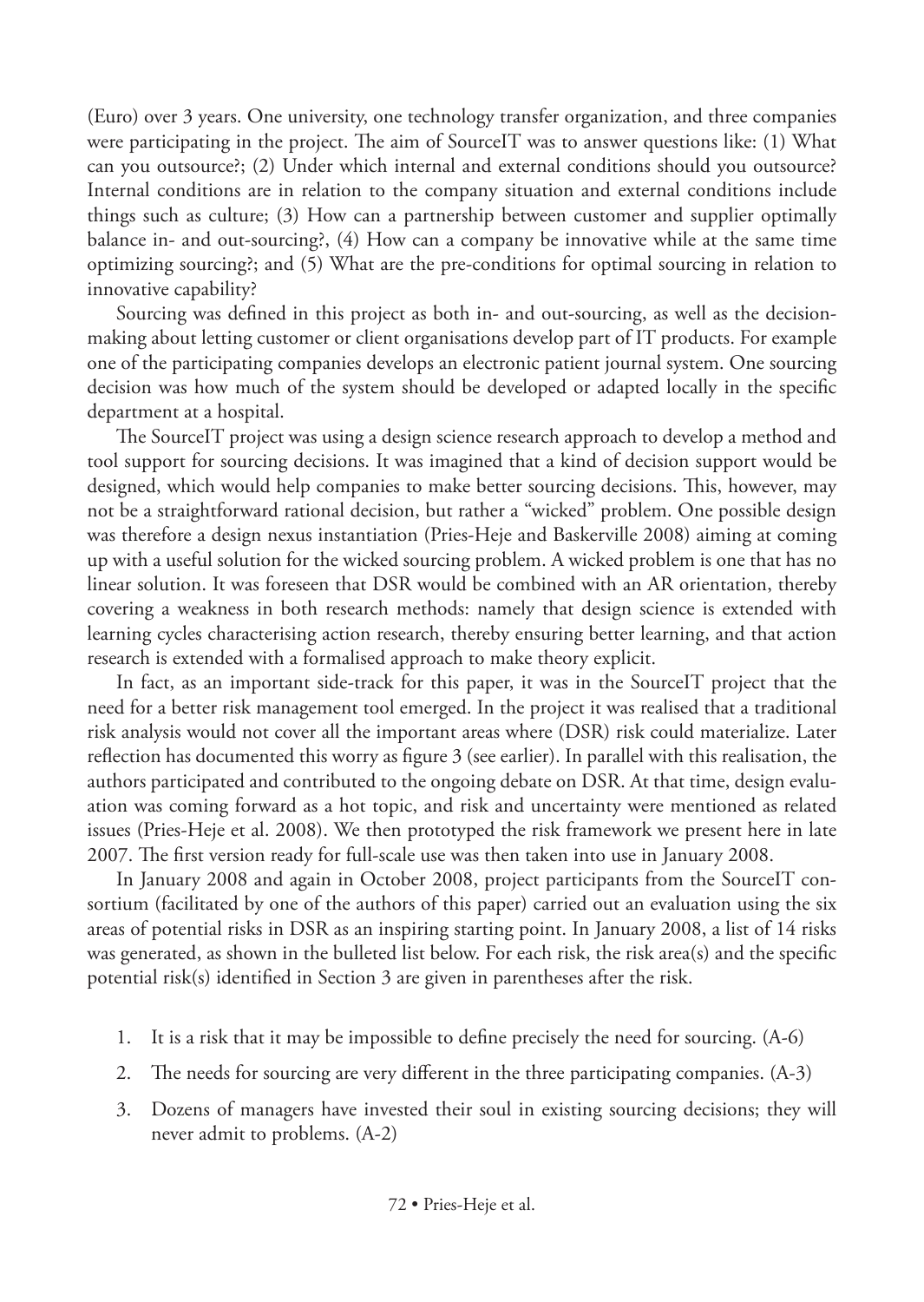(Euro) over 3 years. One university, one technology transfer organization, and three companies were participating in the project. The aim of SourceIT was to answer questions like: (1) What can you outsource?; (2) Under which internal and external conditions should you outsource? Internal conditions are in relation to the company situation and external conditions include things such as culture; (3) How can a partnership between customer and supplier optimally balance in- and out-sourcing?, (4) How can a company be innovative while at the same time optimizing sourcing?; and (5) What are the pre-conditions for optimal sourcing in relation to innovative capability?

Sourcing was defined in this project as both in- and out-sourcing, as well as the decisionmaking about letting customer or client organisations develop part of IT products. For example one of the participating companies develops an electronic patient journal system. One sourcing decision was how much of the system should be developed or adapted locally in the specific department at a hospital.

The SourceIT project was using a design science research approach to develop a method and tool support for sourcing decisions. It was imagined that a kind of decision support would be designed, which would help companies to make better sourcing decisions. This, however, may not be a straightforward rational decision, but rather a "wicked" problem. One possible design was therefore a design nexus instantiation (Pries-Heje and Baskerville 2008) aiming at coming up with a useful solution for the wicked sourcing problem. A wicked problem is one that has no linear solution. It was foreseen that DSR would be combined with an AR orientation, thereby covering a weakness in both research methods: namely that design science is extended with learning cycles characterising action research, thereby ensuring better learning, and that action research is extended with a formalised approach to make theory explicit.

In fact, as an important side-track for this paper, it was in the SourceIT project that the need for a better risk management tool emerged. In the project it was realised that a traditional risk analysis would not cover all the important areas where (DSR) risk could materialize. Later reflection has documented this worry as figure 3 (see earlier). In parallel with this realisation, the authors participated and contributed to the ongoing debate on DSR. At that time, design evaluation was coming forward as a hot topic, and risk and uncertainty were mentioned as related issues (Pries-Heje et al. 2008). We then prototyped the risk framework we present here in late 2007. The first version ready for full-scale use was then taken into use in January 2008.

In January 2008 and again in October 2008, project participants from the SourceIT consortium (facilitated by one of the authors of this paper) carried out an evaluation using the six areas of potential risks in DSR as an inspiring starting point. In January 2008, a list of 14 risks was generated, as shown in the bulleted list below. For each risk, the risk area(s) and the specific potential risk(s) identified in Section 3 are given in parentheses after the risk.

- 1. It is a risk that it may be impossible to define precisely the need for sourcing. (A-6)
- 2. The needs for sourcing are very different in the three participating companies. (A-3)
- 3. Dozens of managers have invested their soul in existing sourcing decisions; they will never admit to problems. (A-2)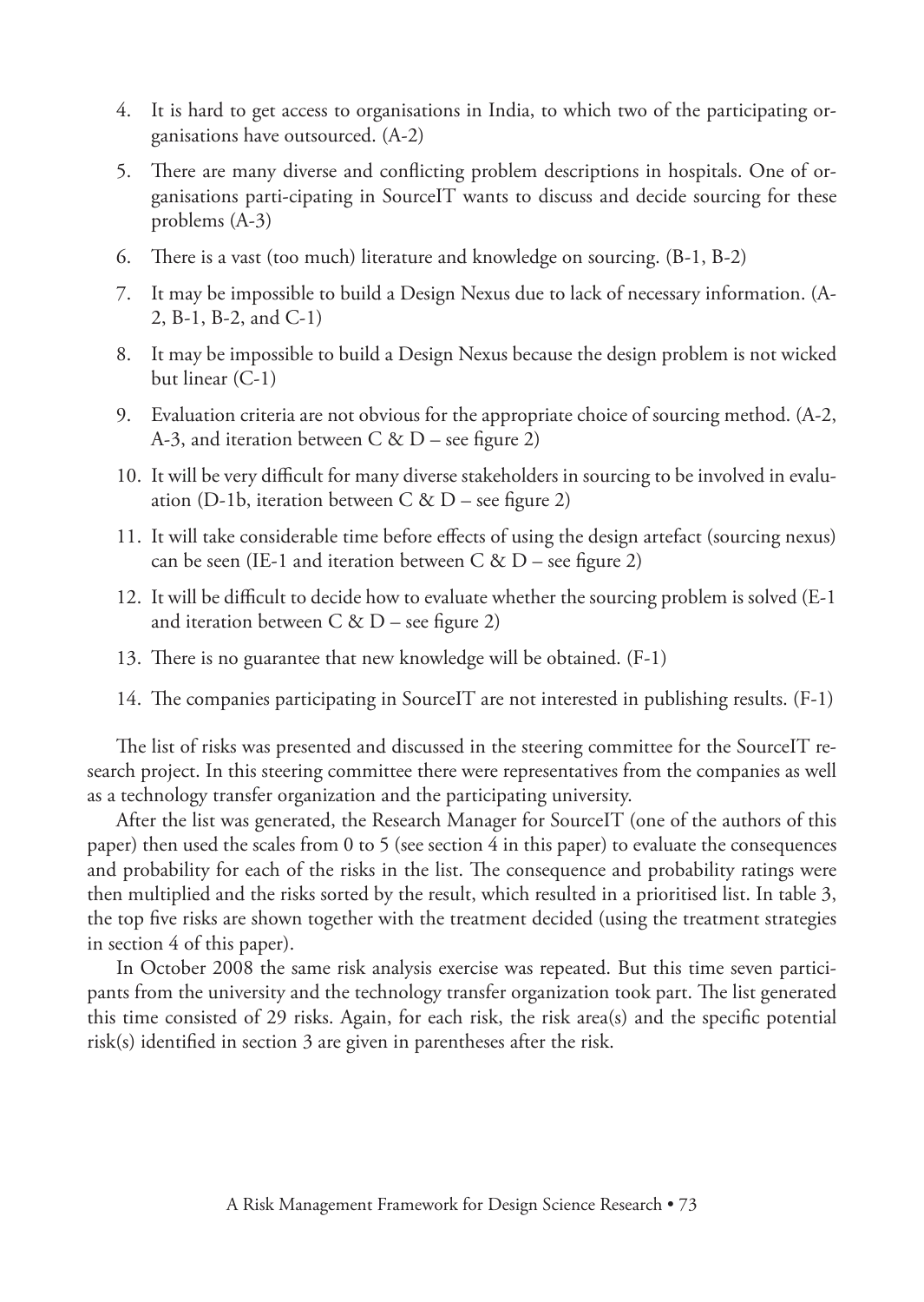- 4. It is hard to get access to organisations in India, to which two of the participating organisations have outsourced. (A-2)
- 5. There are many diverse and conflicting problem descriptions in hospitals. One of organisations parti-cipating in SourceIT wants to discuss and decide sourcing for these problems (A-3)
- 6. There is a vast (too much) literature and knowledge on sourcing. (B-1, B-2)
- 7. It may be impossible to build a Design Nexus due to lack of necessary information. (A-2, B-1, B-2, and C-1)
- 8. It may be impossible to build a Design Nexus because the design problem is not wicked but linear (C-1)
- 9. Evaluation criteria are not obvious for the appropriate choice of sourcing method. (A-2, A-3, and iteration between C &  $D$  – see figure 2)
- 10. It will be very difficult for many diverse stakeholders in sourcing to be involved in evaluation (D-1b, iteration between C & D – see figure 2)
- 11. It will take considerable time before effects of using the design artefact (sourcing nexus) can be seen (IE-1 and iteration between C & D – see figure 2)
- 12. It will be difficult to decide how to evaluate whether the sourcing problem is solved (E-1 and iteration between C & D – see figure 2)
- 13. There is no guarantee that new knowledge will be obtained. (F-1)
- 14. The companies participating in SourceIT are not interested in publishing results. (F-1)

The list of risks was presented and discussed in the steering committee for the SourceIT research project. In this steering committee there were representatives from the companies as well as a technology transfer organization and the participating university.

After the list was generated, the Research Manager for SourceIT (one of the authors of this paper) then used the scales from 0 to 5 (see section 4 in this paper) to evaluate the consequences and probability for each of the risks in the list. The consequence and probability ratings were then multiplied and the risks sorted by the result, which resulted in a prioritised list. In table 3, the top five risks are shown together with the treatment decided (using the treatment strategies in section 4 of this paper).

In October 2008 the same risk analysis exercise was repeated. But this time seven participants from the university and the technology transfer organization took part. The list generated this time consisted of 29 risks. Again, for each risk, the risk area(s) and the specific potential risk(s) identified in section 3 are given in parentheses after the risk.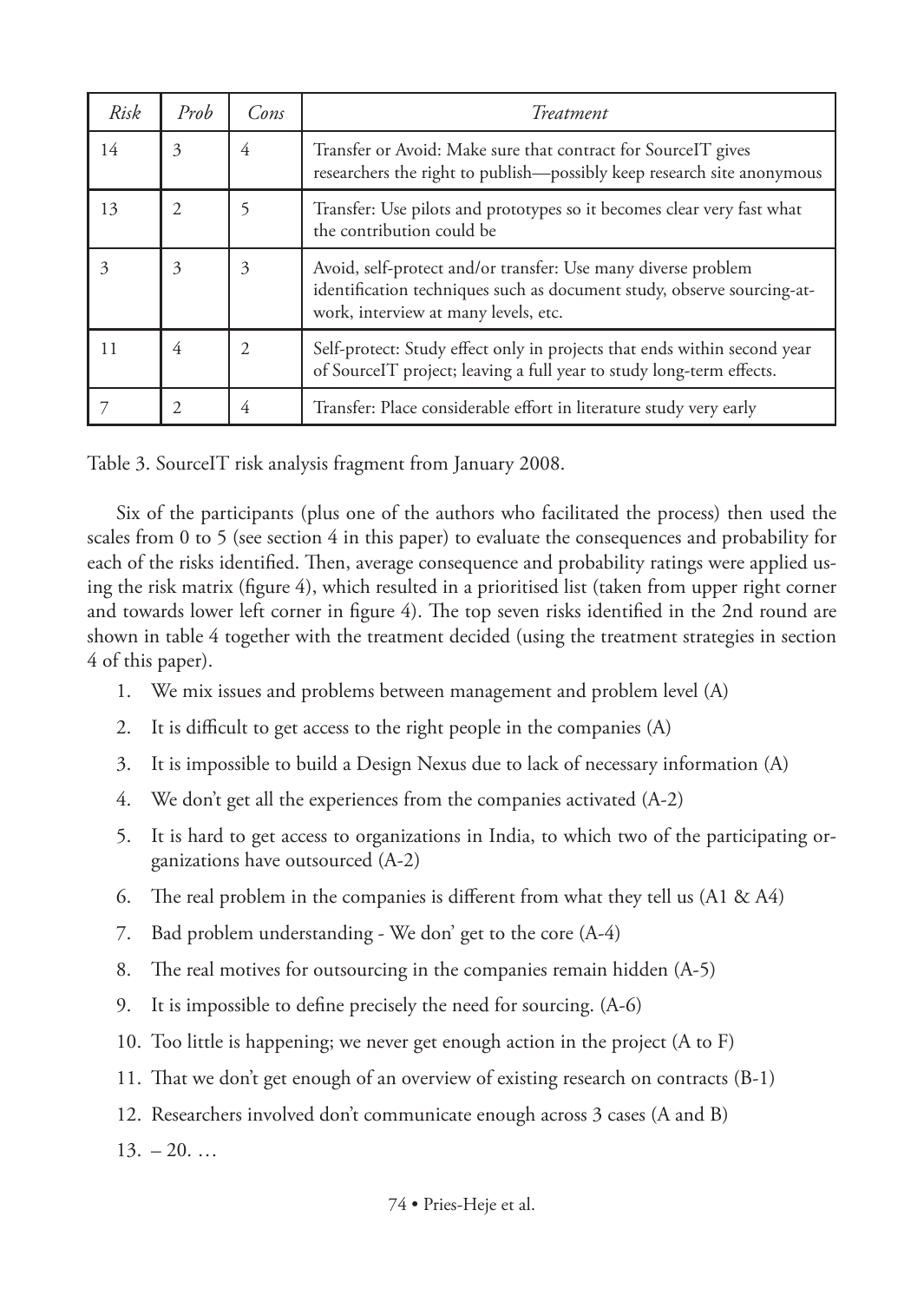| Risk | Prob           | Cons | Treatment                                                                                                                                                                       |
|------|----------------|------|---------------------------------------------------------------------------------------------------------------------------------------------------------------------------------|
| 14   | 3              | 4    | Transfer or Avoid: Make sure that contract for SourceIT gives<br>researchers the right to publish—possibly keep research site anonymous                                         |
| 13   | $\overline{c}$ |      | Transfer: Use pilots and prototypes so it becomes clear very fast what<br>the contribution could be                                                                             |
| 3    | 3              | 3    | Avoid, self-protect and/or transfer: Use many diverse problem<br>identification techniques such as document study, observe sourcing-at-<br>work, interview at many levels, etc. |
| 11   | 4              | 2    | Self-protect: Study effect only in projects that ends within second year<br>of SourceIT project; leaving a full year to study long-term effects.                                |
|      |                | 4    | Transfer: Place considerable effort in literature study very early                                                                                                              |

Table 3. SourceIT risk analysis fragment from January 2008.

Six of the participants (plus one of the authors who facilitated the process) then used the scales from 0 to 5 (see section 4 in this paper) to evaluate the consequences and probability for each of the risks identified. Then, average consequence and probability ratings were applied using the risk matrix (figure 4), which resulted in a prioritised list (taken from upper right corner and towards lower left corner in figure 4). The top seven risks identified in the 2nd round are shown in table 4 together with the treatment decided (using the treatment strategies in section 4 of this paper).

- 1. We mix issues and problems between management and problem level (A)
- 2. It is difficult to get access to the right people in the companies (A)
- 3. It is impossible to build a Design Nexus due to lack of necessary information (A)
- 4. We don't get all the experiences from the companies activated (A-2)
- 5. It is hard to get access to organizations in India, to which two of the participating organizations have outsourced (A-2)
- 6. The real problem in the companies is different from what they tell us (A1 & A4)
- 7. Bad problem understanding We don' get to the core (A-4)
- 8. The real motives for outsourcing in the companies remain hidden (A-5)
- 9. It is impossible to define precisely the need for sourcing. (A-6)
- 10. Too little is happening; we never get enough action in the project (A to F)
- 11. That we don't get enough of an overview of existing research on contracts (B-1)
- 12. Researchers involved don't communicate enough across 3 cases (A and B)
- $13. -20.$ ...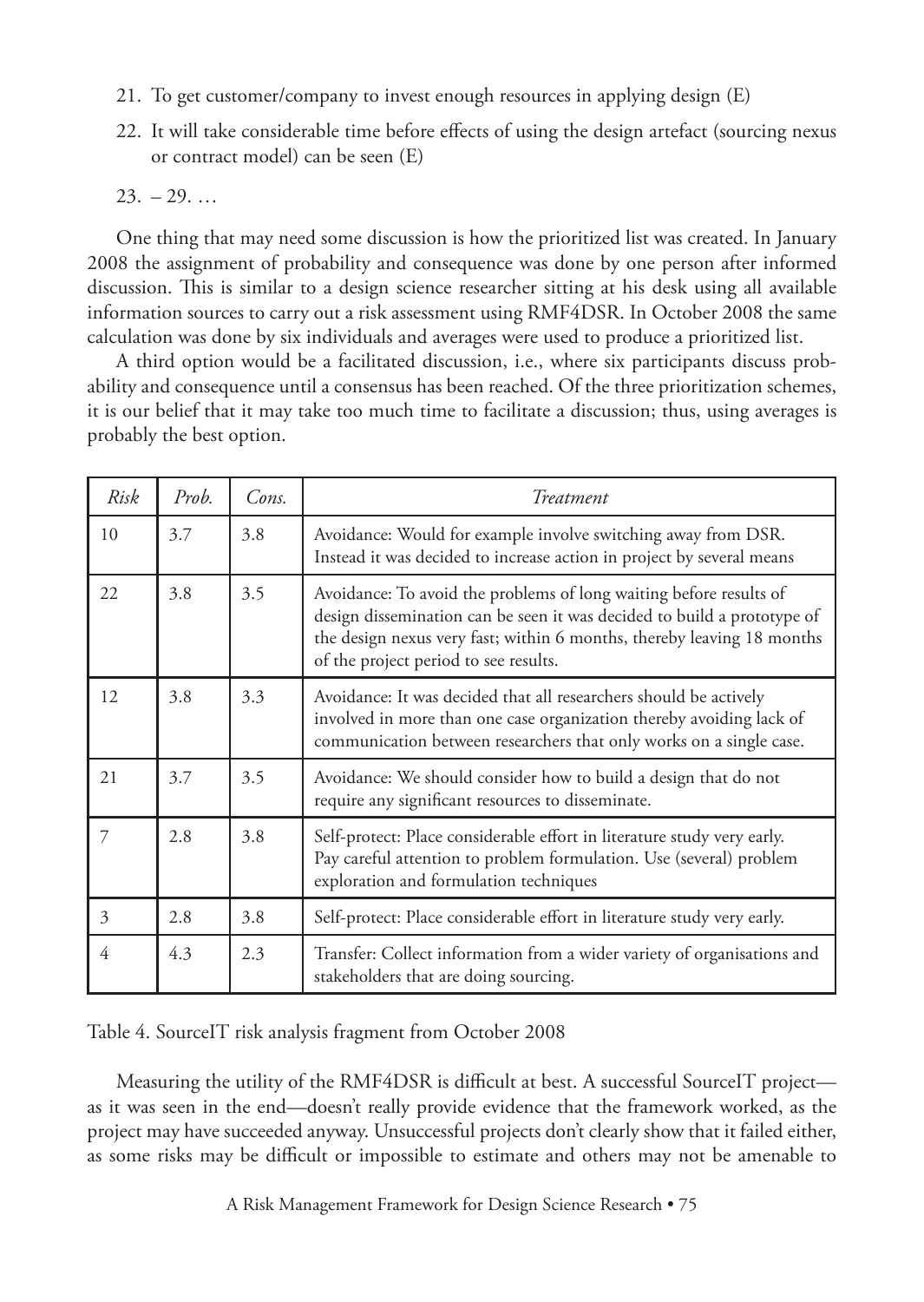- 21. To get customer/company to invest enough resources in applying design (E)
- 22. It will take considerable time before effects of using the design artefact (sourcing nexus or contract model) can be seen (E)

 $23. -29.$ ...

One thing that may need some discussion is how the prioritized list was created. In January 2008 the assignment of probability and consequence was done by one person after informed discussion. This is similar to a design science researcher sitting at his desk using all available information sources to carry out a risk assessment using RMF4DSR. In October 2008 the same calculation was done by six individuals and averages were used to produce a prioritized list.

A third option would be a facilitated discussion, i.e., where six participants discuss probability and consequence until a consensus has been reached. Of the three prioritization schemes, it is our belief that it may take too much time to facilitate a discussion; thus, using averages is probably the best option.

| Risk | Prob. | Cons. | Treatment                                                                                                                                                                                                                                                        |  |  |
|------|-------|-------|------------------------------------------------------------------------------------------------------------------------------------------------------------------------------------------------------------------------------------------------------------------|--|--|
| 10   | 3.7   | 3.8   | Avoidance: Would for example involve switching away from DSR.<br>Instead it was decided to increase action in project by several means                                                                                                                           |  |  |
| 22   | 3.8   | 3.5   | Avoidance: To avoid the problems of long waiting before results of<br>design dissemination can be seen it was decided to build a prototype of<br>the design nexus very fast; within 6 months, thereby leaving 18 months<br>of the project period to see results. |  |  |
| 12   | 3.8   | 3.3   | Avoidance: It was decided that all researchers should be actively<br>involved in more than one case organization thereby avoiding lack of<br>communication between researchers that only works on a single case.                                                 |  |  |
| 21   | 3.7   | 3.5   | Avoidance: We should consider how to build a design that do not<br>require any significant resources to disseminate.                                                                                                                                             |  |  |
| 7    | 2.8   | 3.8   | Self-protect: Place considerable effort in literature study very early.<br>Pay careful attention to problem formulation. Use (several) problem<br>exploration and formulation techniques                                                                         |  |  |
| 3    | 2.8   | 3.8   | Self-protect: Place considerable effort in literature study very early.                                                                                                                                                                                          |  |  |
| 4    | 4.3   | 2.3   | Transfer: Collect information from a wider variety of organisations and<br>stakeholders that are doing sourcing.                                                                                                                                                 |  |  |

Table 4. SourceIT risk analysis fragment from October 2008

Measuring the utility of the RMF4DSR is difficult at best. A successful SourceIT project as it was seen in the end—doesn't really provide evidence that the framework worked, as the project may have succeeded anyway. Unsuccessful projects don't clearly show that it failed either, as some risks may be difficult or impossible to estimate and others may not be amenable to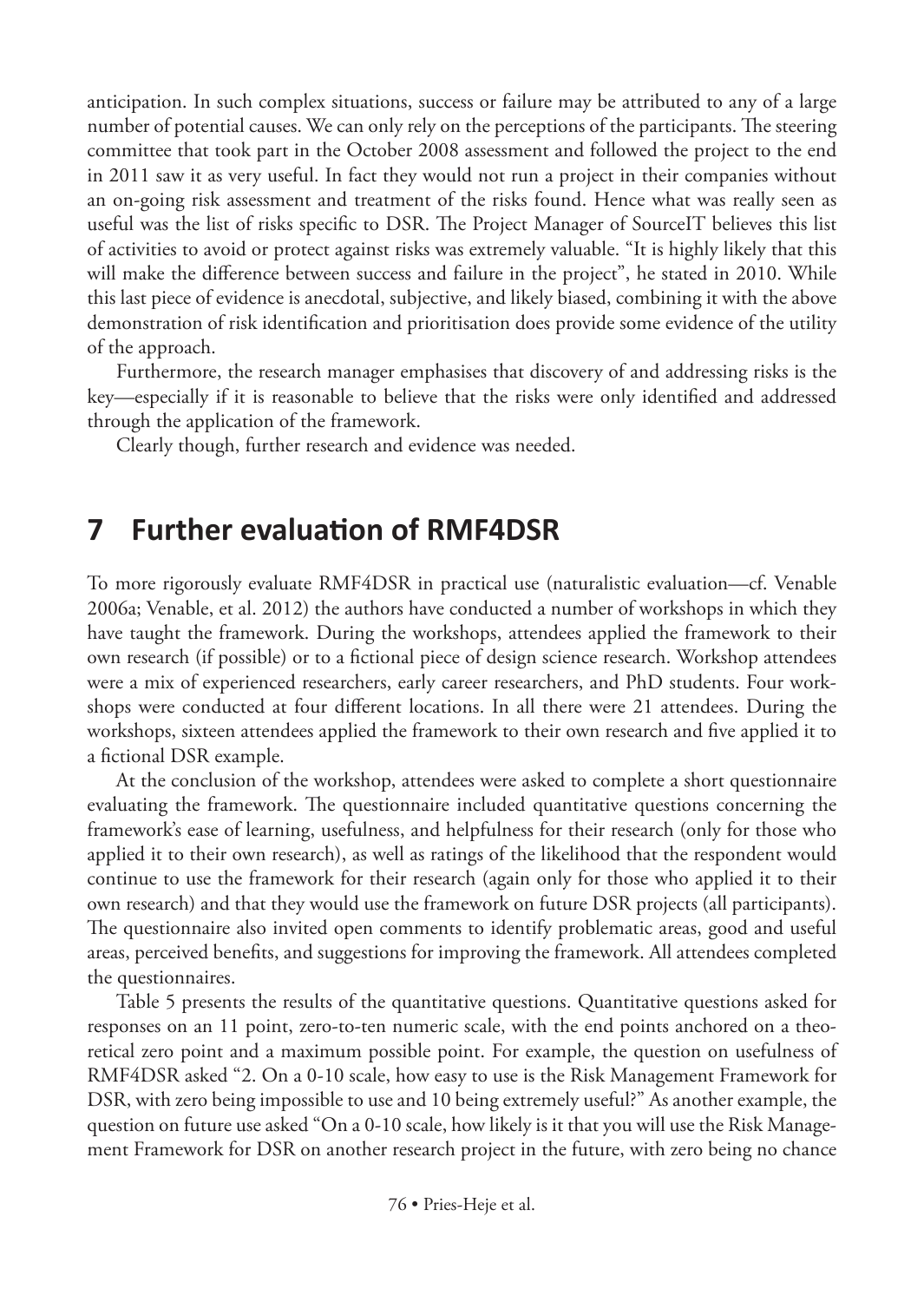anticipation. In such complex situations, success or failure may be attributed to any of a large number of potential causes. We can only rely on the perceptions of the participants. The steering committee that took part in the October 2008 assessment and followed the project to the end in 2011 saw it as very useful. In fact they would not run a project in their companies without an on-going risk assessment and treatment of the risks found. Hence what was really seen as useful was the list of risks specific to DSR. The Project Manager of SourceIT believes this list of activities to avoid or protect against risks was extremely valuable. "It is highly likely that this will make the difference between success and failure in the project", he stated in 2010. While this last piece of evidence is anecdotal, subjective, and likely biased, combining it with the above demonstration of risk identification and prioritisation does provide some evidence of the utility of the approach.

Furthermore, the research manager emphasises that discovery of and addressing risks is the key—especially if it is reasonable to believe that the risks were only identified and addressed through the application of the framework.

Clearly though, further research and evidence was needed.

### **7 Further evaluation of RMF4DSR**

To more rigorously evaluate RMF4DSR in practical use (naturalistic evaluation—cf. Venable 2006a; Venable, et al. 2012) the authors have conducted a number of workshops in which they have taught the framework. During the workshops, attendees applied the framework to their own research (if possible) or to a fictional piece of design science research. Workshop attendees were a mix of experienced researchers, early career researchers, and PhD students. Four workshops were conducted at four different locations. In all there were 21 attendees. During the workshops, sixteen attendees applied the framework to their own research and five applied it to a fictional DSR example.

At the conclusion of the workshop, attendees were asked to complete a short questionnaire evaluating the framework. The questionnaire included quantitative questions concerning the framework's ease of learning, usefulness, and helpfulness for their research (only for those who applied it to their own research), as well as ratings of the likelihood that the respondent would continue to use the framework for their research (again only for those who applied it to their own research) and that they would use the framework on future DSR projects (all participants). The questionnaire also invited open comments to identify problematic areas, good and useful areas, perceived benefits, and suggestions for improving the framework. All attendees completed the questionnaires.

Table 5 presents the results of the quantitative questions. Quantitative questions asked for responses on an 11 point, zero-to-ten numeric scale, with the end points anchored on a theoretical zero point and a maximum possible point. For example, the question on usefulness of RMF4DSR asked "2. On a 0-10 scale, how easy to use is the Risk Management Framework for DSR, with zero being impossible to use and 10 being extremely useful?" As another example, the question on future use asked "On a 0-10 scale, how likely is it that you will use the Risk Management Framework for DSR on another research project in the future, with zero being no chance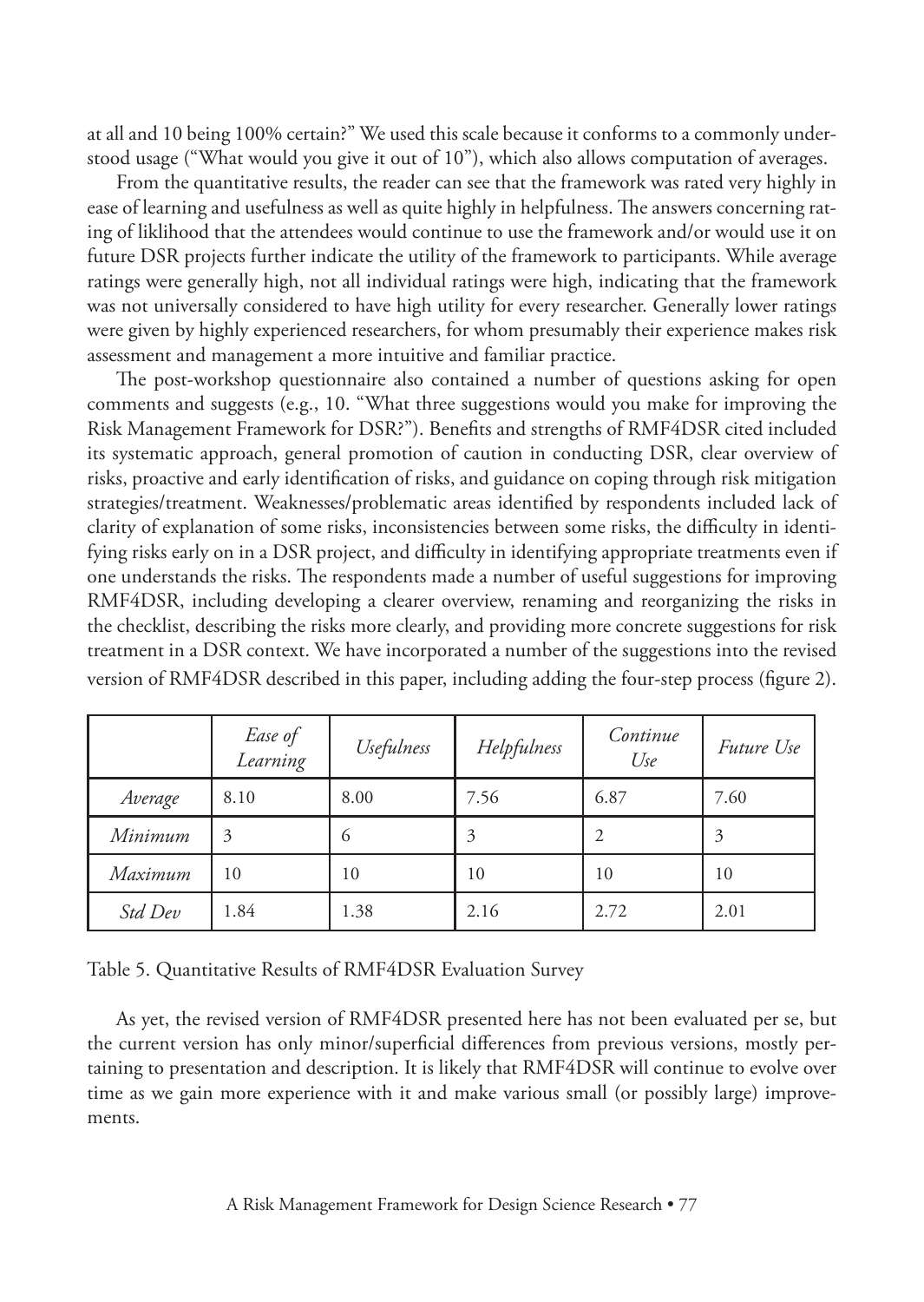at all and 10 being 100% certain?" We used this scale because it conforms to a commonly understood usage ("What would you give it out of 10"), which also allows computation of averages.

From the quantitative results, the reader can see that the framework was rated very highly in ease of learning and usefulness as well as quite highly in helpfulness. The answers concerning rating of liklihood that the attendees would continue to use the framework and/or would use it on future DSR projects further indicate the utility of the framework to participants. While average ratings were generally high, not all individual ratings were high, indicating that the framework was not universally considered to have high utility for every researcher. Generally lower ratings were given by highly experienced researchers, for whom presumably their experience makes risk assessment and management a more intuitive and familiar practice.

The post-workshop questionnaire also contained a number of questions asking for open comments and suggests (e.g., 10. "What three suggestions would you make for improving the Risk Management Framework for DSR?"). Benefits and strengths of RMF4DSR cited included its systematic approach, general promotion of caution in conducting DSR, clear overview of risks, proactive and early identification of risks, and guidance on coping through risk mitigation strategies/treatment. Weaknesses/problematic areas identified by respondents included lack of clarity of explanation of some risks, inconsistencies between some risks, the difficulty in identifying risks early on in a DSR project, and difficulty in identifying appropriate treatments even if one understands the risks. The respondents made a number of useful suggestions for improving RMF4DSR, including developing a clearer overview, renaming and reorganizing the risks in the checklist, describing the risks more clearly, and providing more concrete suggestions for risk treatment in a DSR context. We have incorporated a number of the suggestions into the revised version of RMF4DSR described in this paper, including adding the four-step process (figure 2).

|         | Ease of<br>Learning | Usefulness | Helpfulness | Continue<br>Use | <i>Future Use</i> |
|---------|---------------------|------------|-------------|-----------------|-------------------|
| Average | 8.10                | 8.00       | 7.56        | 6.87            | 7.60              |
| Minimum | 3                   | 6          | 3           | 2               | 3                 |
| Maximum | 10                  | 10         | 10          | 10              | 10                |
| Std Dev | 1.84                | 1.38       | 2.16        | 2.72            | 2.01              |

Table 5. Quantitative Results of RMF4DSR Evaluation Survey

As yet, the revised version of RMF4DSR presented here has not been evaluated per se, but the current version has only minor/superficial differences from previous versions, mostly pertaining to presentation and description. It is likely that RMF4DSR will continue to evolve over time as we gain more experience with it and make various small (or possibly large) improvements.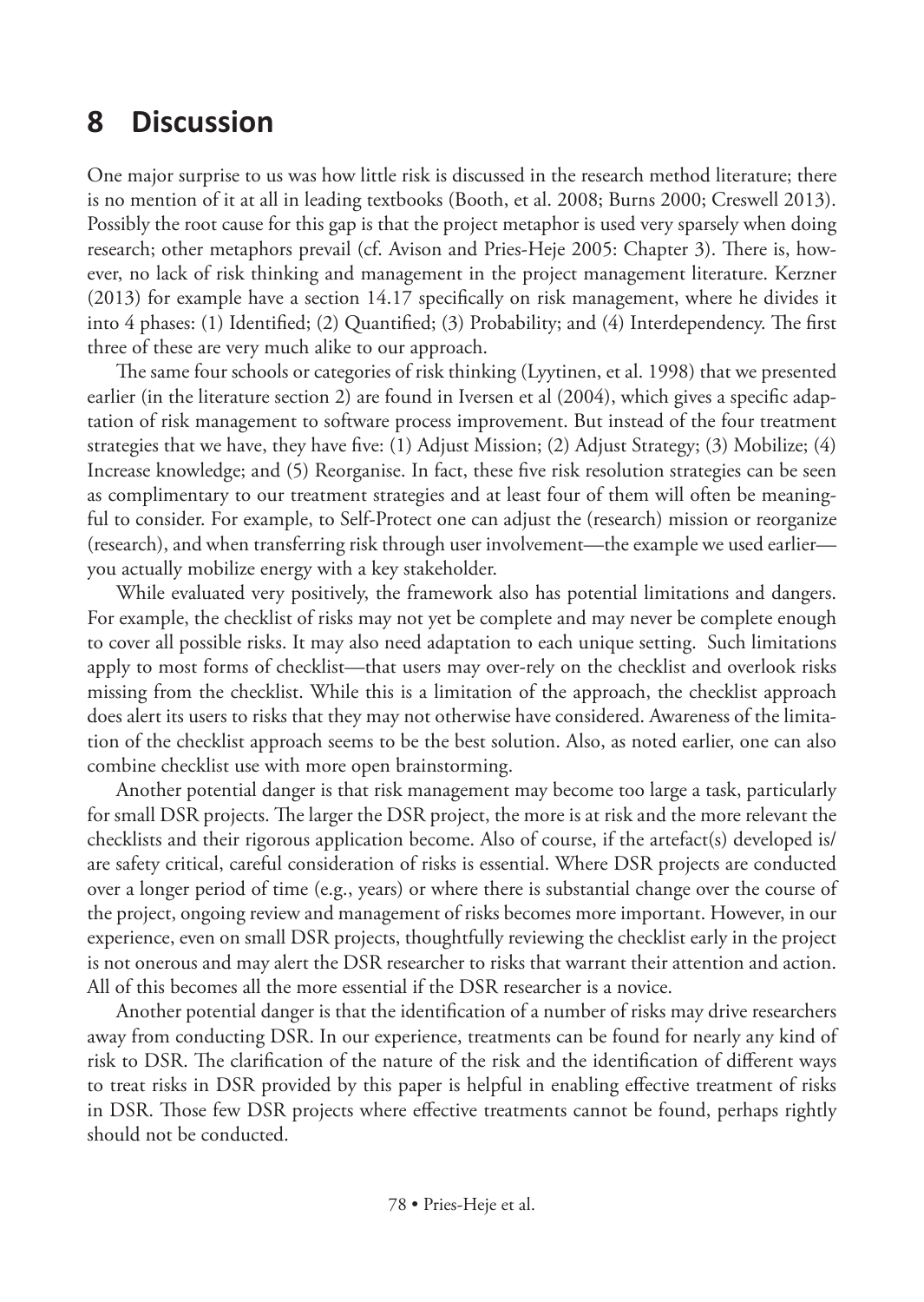# **8 Discussion**

One major surprise to us was how little risk is discussed in the research method literature; there is no mention of it at all in leading textbooks (Booth, et al. 2008; Burns 2000; Creswell 2013). Possibly the root cause for this gap is that the project metaphor is used very sparsely when doing research; other metaphors prevail (cf. Avison and Pries-Heje 2005: Chapter 3). There is, however, no lack of risk thinking and management in the project management literature. Kerzner (2013) for example have a section 14.17 specifically on risk management, where he divides it into 4 phases: (1) Identified; (2) Quantified; (3) Probability; and (4) Interdependency. The first three of these are very much alike to our approach.

The same four schools or categories of risk thinking (Lyytinen, et al. 1998) that we presented earlier (in the literature section 2) are found in Iversen et al (2004), which gives a specific adaptation of risk management to software process improvement. But instead of the four treatment strategies that we have, they have five: (1) Adjust Mission; (2) Adjust Strategy; (3) Mobilize; (4) Increase knowledge; and (5) Reorganise. In fact, these five risk resolution strategies can be seen as complimentary to our treatment strategies and at least four of them will often be meaningful to consider. For example, to Self-Protect one can adjust the (research) mission or reorganize (research), and when transferring risk through user involvement—the example we used earlier you actually mobilize energy with a key stakeholder.

While evaluated very positively, the framework also has potential limitations and dangers. For example, the checklist of risks may not yet be complete and may never be complete enough to cover all possible risks. It may also need adaptation to each unique setting. Such limitations apply to most forms of checklist—that users may over-rely on the checklist and overlook risks missing from the checklist. While this is a limitation of the approach, the checklist approach does alert its users to risks that they may not otherwise have considered. Awareness of the limitation of the checklist approach seems to be the best solution. Also, as noted earlier, one can also combine checklist use with more open brainstorming.

Another potential danger is that risk management may become too large a task, particularly for small DSR projects. The larger the DSR project, the more is at risk and the more relevant the checklists and their rigorous application become. Also of course, if the artefact(s) developed is/ are safety critical, careful consideration of risks is essential. Where DSR projects are conducted over a longer period of time (e.g., years) or where there is substantial change over the course of the project, ongoing review and management of risks becomes more important. However, in our experience, even on small DSR projects, thoughtfully reviewing the checklist early in the project is not onerous and may alert the DSR researcher to risks that warrant their attention and action. All of this becomes all the more essential if the DSR researcher is a novice.

Another potential danger is that the identification of a number of risks may drive researchers away from conducting DSR. In our experience, treatments can be found for nearly any kind of risk to DSR. The clarification of the nature of the risk and the identification of different ways to treat risks in DSR provided by this paper is helpful in enabling effective treatment of risks in DSR. Those few DSR projects where effective treatments cannot be found, perhaps rightly should not be conducted.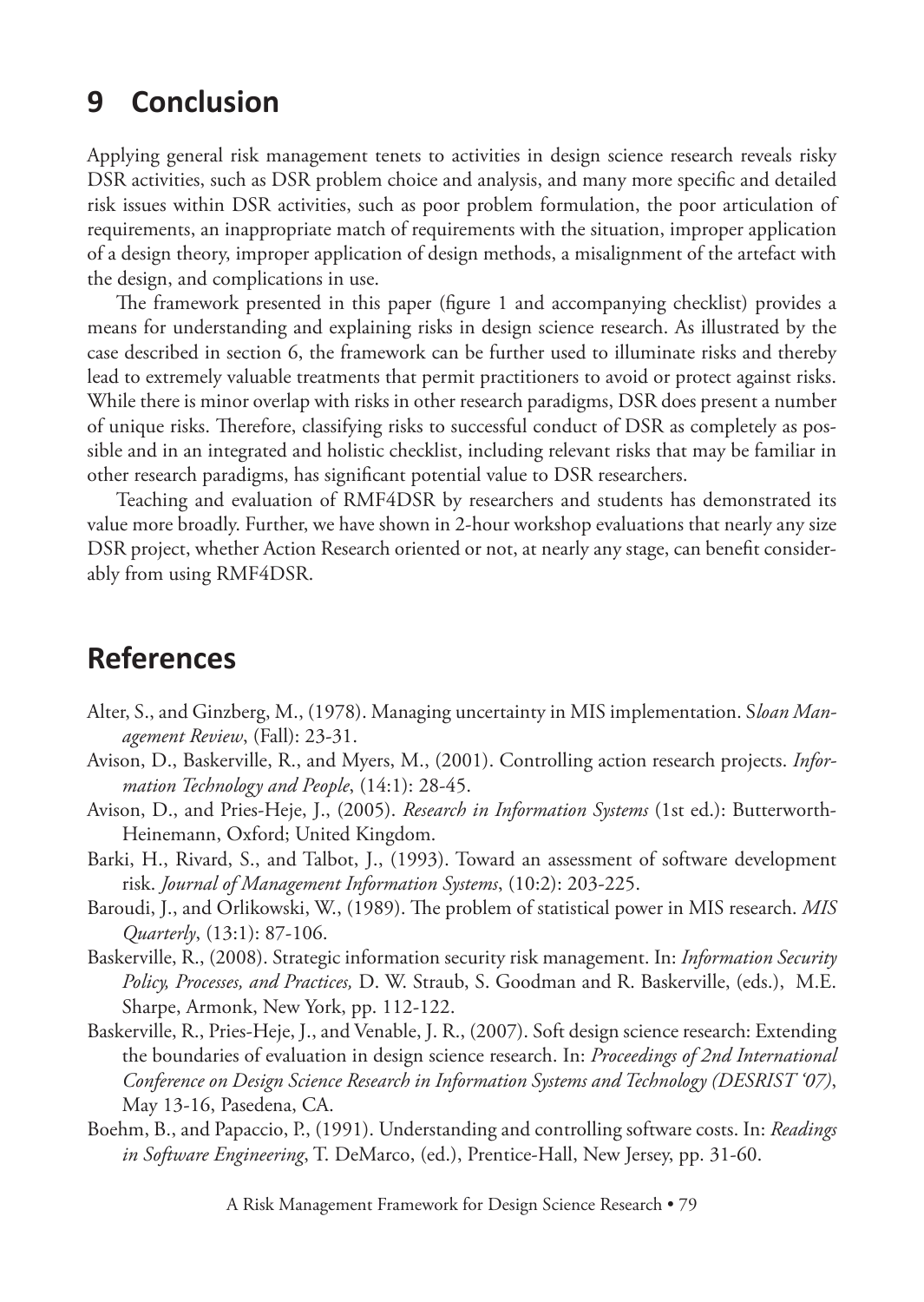# **9 Conclusion**

Applying general risk management tenets to activities in design science research reveals risky DSR activities, such as DSR problem choice and analysis, and many more specific and detailed risk issues within DSR activities, such as poor problem formulation, the poor articulation of requirements, an inappropriate match of requirements with the situation, improper application of a design theory, improper application of design methods, a misalignment of the artefact with the design, and complications in use.

The framework presented in this paper (figure 1 and accompanying checklist) provides a means for understanding and explaining risks in design science research. As illustrated by the case described in section 6, the framework can be further used to illuminate risks and thereby lead to extremely valuable treatments that permit practitioners to avoid or protect against risks. While there is minor overlap with risks in other research paradigms, DSR does present a number of unique risks. Therefore, classifying risks to successful conduct of DSR as completely as possible and in an integrated and holistic checklist, including relevant risks that may be familiar in other research paradigms, has significant potential value to DSR researchers.

Teaching and evaluation of RMF4DSR by researchers and students has demonstrated its value more broadly. Further, we have shown in 2-hour workshop evaluations that nearly any size DSR project, whether Action Research oriented or not, at nearly any stage, can benefit considerably from using RMF4DSR.

# **References**

- Alter, S., and Ginzberg, M., (1978). Managing uncertainty in MIS implementation. S*loan Management Review*, (Fall): 23-31.
- Avison, D., Baskerville, R., and Myers, M., (2001). Controlling action research projects. *Information Technology and People*, (14:1): 28-45.
- Avison, D., and Pries-Heje, J., (2005). *Research in Information Systems* (1st ed.): Butterworth-Heinemann, Oxford; United Kingdom.
- Barki, H., Rivard, S., and Talbot, J., (1993). Toward an assessment of software development risk. *Journal of Management Information Systems*, (10:2): 203-225.
- Baroudi, J., and Orlikowski, W., (1989). The problem of statistical power in MIS research. *MIS Quarterly*, (13:1): 87-106.
- Baskerville, R., (2008). Strategic information security risk management. In: *Information Security Policy, Processes, and Practices,* D. W. Straub, S. Goodman and R. Baskerville, (eds.), M.E. Sharpe, Armonk, New York, pp. 112-122.
- Baskerville, R., Pries-Heje, J., and Venable, J. R., (2007). Soft design science research: Extending the boundaries of evaluation in design science research. In: *Proceedings of 2nd International Conference on Design Science Research in Information Systems and Technology (DESRIST '07)*, May 13-16, Pasedena, CA.
- Boehm, B., and Papaccio, P., (1991). Understanding and controlling software costs. In: *Readings in Software Engineering*, T. DeMarco, (ed.), Prentice-Hall, New Jersey, pp. 31-60.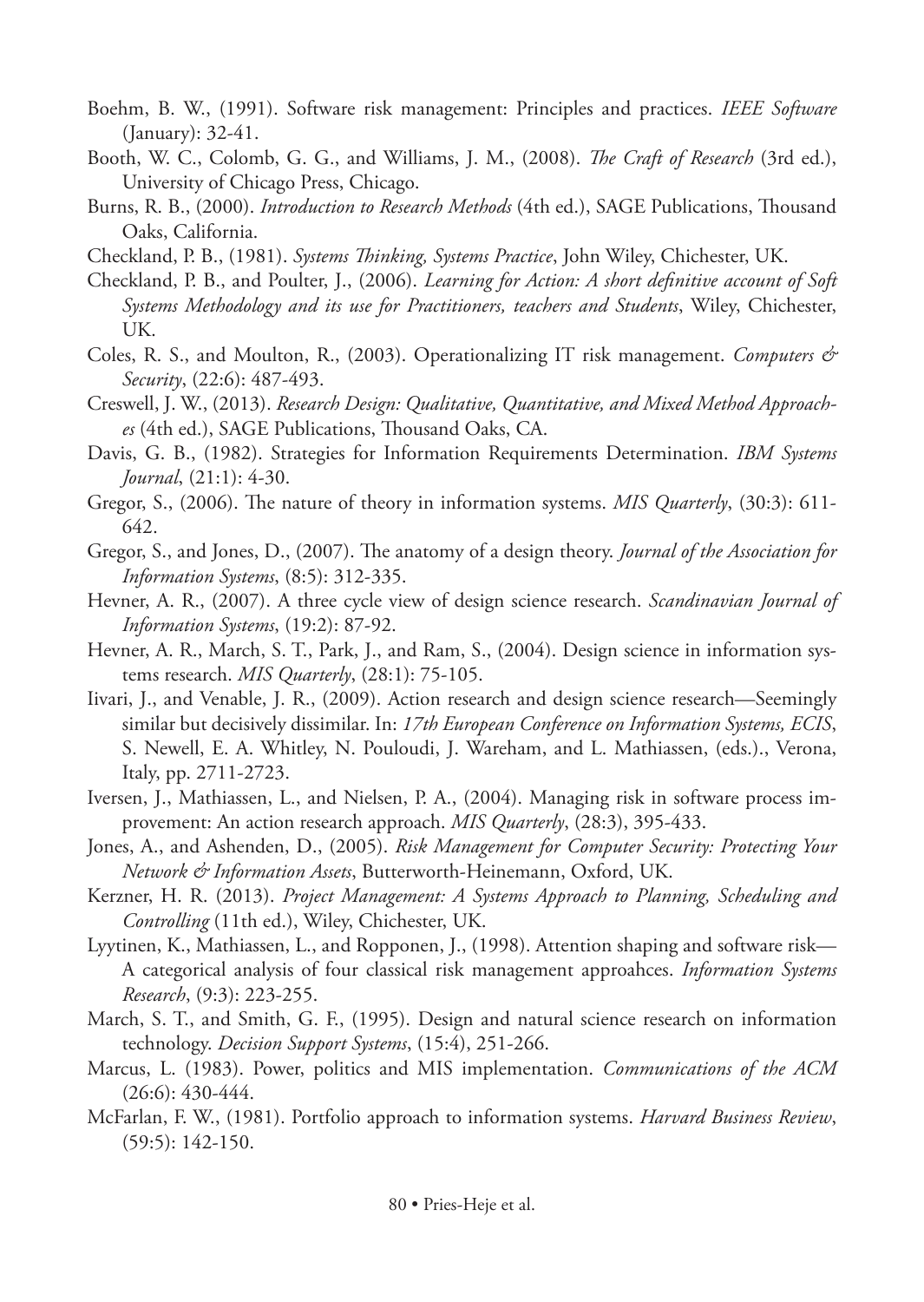- Boehm, B. W., (1991). Software risk management: Principles and practices. *IEEE Software* (January): 32-41.
- Booth, W. C., Colomb, G. G., and Williams, J. M., (2008). *The Craft of Research* (3rd ed.), University of Chicago Press, Chicago.
- Burns, R. B., (2000). *Introduction to Research Methods* (4th ed.), SAGE Publications, Thousand Oaks, California.
- Checkland, P. B., (1981). *Systems Thinking, Systems Practice*, John Wiley, Chichester, UK.
- Checkland, P. B., and Poulter, J., (2006). *Learning for Action: A short definitive account of Soft Systems Methodology and its use for Practitioners, teachers and Students*, Wiley, Chichester, UK.
- Coles, R. S., and Moulton, R., (2003). Operationalizing IT risk management. *Computers & Security*, (22:6): 487-493.
- Creswell, J. W., (2013). *Research Design: Qualitative, Quantitative, and Mixed Method Approaches* (4th ed.), SAGE Publications, Thousand Oaks, CA.
- Davis, G. B., (1982). Strategies for Information Requirements Determination. *IBM Systems Journal*, (21:1): 4-30.
- Gregor, S., (2006). The nature of theory in information systems. *MIS Quarterly*, (30:3): 611- 642.
- Gregor, S., and Jones, D., (2007). The anatomy of a design theory. *Journal of the Association for Information Systems*, (8:5): 312-335.
- Hevner, A. R., (2007). A three cycle view of design science research. *Scandinavian Journal of Information Systems*, (19:2): 87-92.
- Hevner, A. R., March, S. T., Park, J., and Ram, S., (2004). Design science in information systems research. *MIS Quarterly*, (28:1): 75-105.
- Iivari, J., and Venable, J. R., (2009). Action research and design science research—Seemingly similar but decisively dissimilar. In: *17th European Conference on Information Systems, ECIS*, S. Newell, E. A. Whitley, N. Pouloudi, J. Wareham, and L. Mathiassen, (eds.)., Verona, Italy, pp. 2711-2723.
- Iversen, J., Mathiassen, L., and Nielsen, P. A., (2004). Managing risk in software process improvement: An action research approach. *MIS Quarterly*, (28:3), 395-433.
- Jones, A., and Ashenden, D., (2005). *Risk Management for Computer Security: Protecting Your Network & Information Assets*, Butterworth-Heinemann, Oxford, UK.
- Kerzner, H. R. (2013). *Project Management: A Systems Approach to Planning, Scheduling and Controlling* (11th ed.), Wiley, Chichester, UK.
- Lyytinen, K., Mathiassen, L., and Ropponen, J., (1998). Attention shaping and software risk— A categorical analysis of four classical risk management approahces. *Information Systems Research*, (9:3): 223-255.
- March, S. T., and Smith, G. F., (1995). Design and natural science research on information technology. *Decision Support Systems*, (15:4), 251-266.
- Marcus, L. (1983). Power, politics and MIS implementation. *Communications of the ACM* (26:6): 430-444.
- McFarlan, F. W., (1981). Portfolio approach to information systems. *Harvard Business Review*, (59:5): 142-150.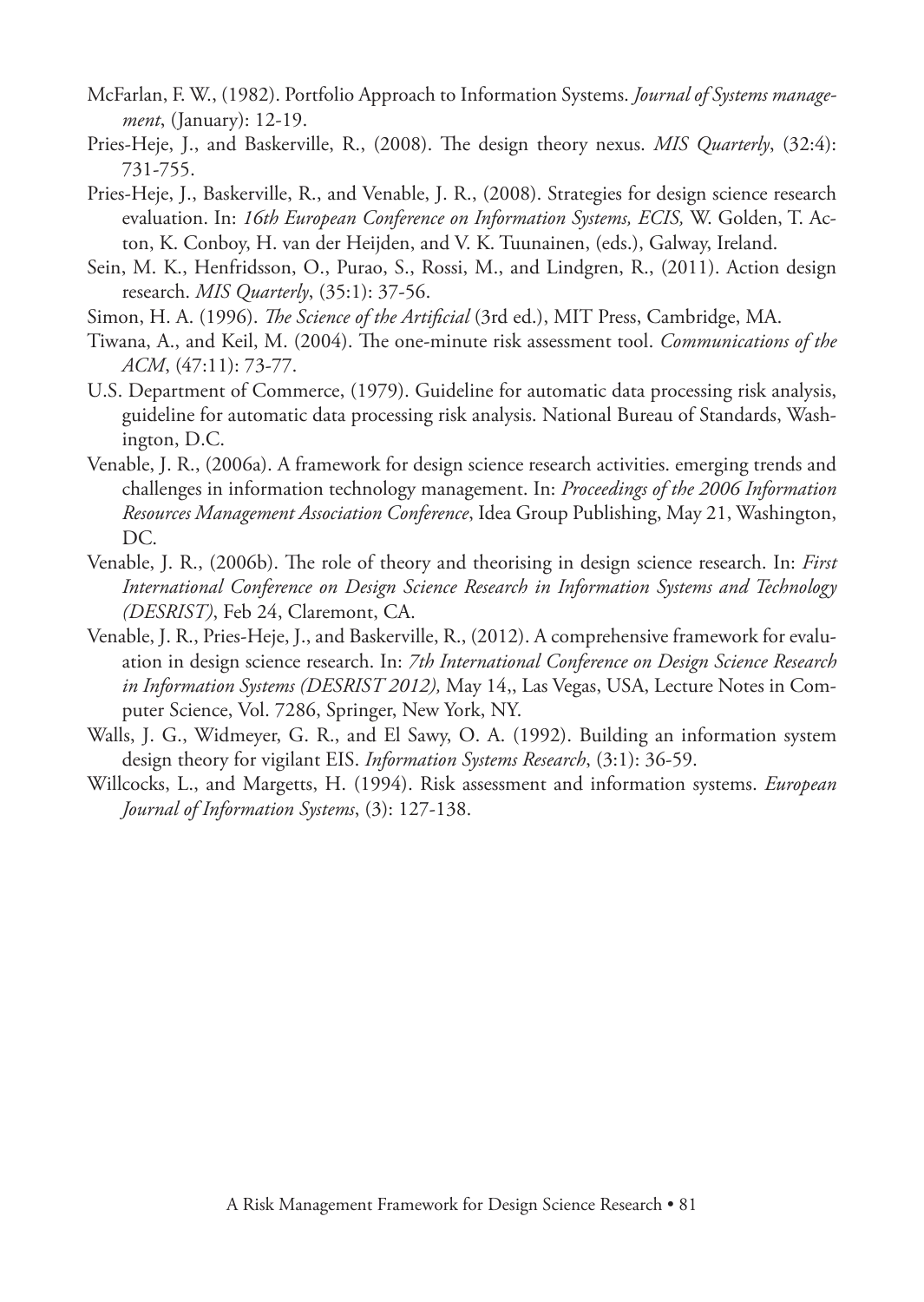- McFarlan, F. W., (1982). Portfolio Approach to Information Systems. *Journal of Systems management*, (January): 12-19.
- Pries-Heje, J., and Baskerville, R., (2008). The design theory nexus. *MIS Quarterly*, (32:4): 731-755.
- Pries-Heje, J., Baskerville, R., and Venable, J. R., (2008). Strategies for design science research evaluation. In: *16th European Conference on Information Systems, ECIS,* W. Golden, T. Acton, K. Conboy, H. van der Heijden, and V. K. Tuunainen, (eds.), Galway, Ireland.
- Sein, M. K., Henfridsson, O., Purao, S., Rossi, M., and Lindgren, R., (2011). Action design research. *MIS Quarterly*, (35:1): 37-56.
- Simon, H. A. (1996). *The Science of the Artificial* (3rd ed.), MIT Press, Cambridge, MA.
- Tiwana, A., and Keil, M. (2004). The one-minute risk assessment tool. *Communications of the ACM*, (47:11): 73-77.
- U.S. Department of Commerce, (1979). Guideline for automatic data processing risk analysis, guideline for automatic data processing risk analysis. National Bureau of Standards, Washington, D.C.
- Venable, J. R., (2006a). A framework for design science research activities. emerging trends and challenges in information technology management. In: *Proceedings of the 2006 Information Resources Management Association Conference*, Idea Group Publishing, May 21, Washington, DC.
- Venable, J. R., (2006b). The role of theory and theorising in design science research. In: *First International Conference on Design Science Research in Information Systems and Technology (DESRIST)*, Feb 24, Claremont, CA.
- Venable, J. R., Pries-Heje, J., and Baskerville, R., (2012). A comprehensive framework for evaluation in design science research. In: *7th International Conference on Design Science Research in Information Systems (DESRIST 2012),* May 14,, Las Vegas, USA, Lecture Notes in Computer Science, Vol. 7286, Springer, New York, NY.
- Walls, J. G., Widmeyer, G. R., and El Sawy, O. A. (1992). Building an information system design theory for vigilant EIS. *Information Systems Research*, (3:1): 36-59.
- Willcocks, L., and Margetts, H. (1994). Risk assessment and information systems. *European Journal of Information Systems*, (3): 127-138.